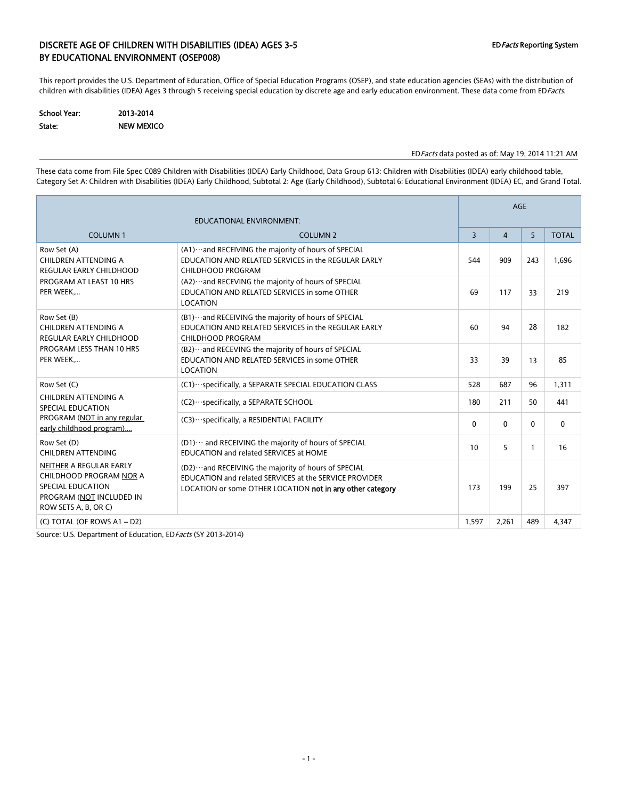### DISCRETE AGE OF CHILDREN WITH DISABILITIES (IDEA) AGES 3-5 EDFACTS Reporting System BY EDUCATIONAL ENVIRONMENT (OSEP008)

This report provides the U.S. Department of Education, Office of Special Education Programs (OSEP), and state education agencies (SEAs) with the distribution of children with disabilities (IDEA) Ages 3 through 5 receiving special education by discrete age and early education environment. These data come from EDFacts.

| <b>School Year:</b> | 2013-2014         |
|---------------------|-------------------|
| State:              | <b>NEW MEXICO</b> |

#### EDFacts data posted as of: May 19, 2014 11:21 AM

These data come from File Spec C089 Children with Disabilities (IDEA) Early Childhood, Data Group 613: Children with Disabilities (IDEA) early childhood table, Category Set A: Children with Disabilities (IDEA) Early Childhood, Subtotal 2: Age (Early Childhood), Subtotal 6: Educational Environment (IDEA) EC, and Grand Total.

|                                                                                                                                    |                                                                                                                                                                                | <b>AGE</b>     |                |              |              |  |  |
|------------------------------------------------------------------------------------------------------------------------------------|--------------------------------------------------------------------------------------------------------------------------------------------------------------------------------|----------------|----------------|--------------|--------------|--|--|
| <b>COLUMN1</b>                                                                                                                     | <b>COLUMN 2</b>                                                                                                                                                                | $\overline{3}$ | $\overline{4}$ | 5            | <b>TOTAL</b> |  |  |
| Row Set (A)<br>CHILDREN ATTENDING A<br><b>REGULAR EARLY CHILDHOOD</b>                                                              | (A1)  and RECEIVING the majority of hours of SPECIAL<br>EDUCATION AND RELATED SERVICES in the REGULAR EARLY<br><b>CHILDHOOD PROGRAM</b>                                        | 544            | 909            | 243          | 1,696        |  |  |
| PROGRAM AT LEAST 10 HRS<br>PER WEEK                                                                                                | (A2)  and RECEVING the majority of hours of SPECIAL<br>EDUCATION AND RELATED SERVICES in some OTHER<br><b>LOCATION</b>                                                         | 69             | 117            | 33           | 219          |  |  |
| Row Set (B)<br>CHILDREN ATTENDING A<br><b>REGULAR EARLY CHILDHOOD</b>                                                              | (B1)  and RECEIVING the majority of hours of SPECIAL<br>EDUCATION AND RELATED SERVICES in the REGULAR EARLY<br><b>CHILDHOOD PROGRAM</b>                                        | 60             | 94             | 28           | 182          |  |  |
| PROGRAM LESS THAN 10 HRS<br>PER WEEK                                                                                               | (B2)  and RECEVING the majority of hours of SPECIAL<br>EDUCATION AND RELATED SERVICES in some OTHER<br><b>LOCATION</b>                                                         | 33             | 39             | 13           | 85           |  |  |
| Row Set (C)                                                                                                                        | (C1) ··· specifically, a SEPARATE SPECIAL EDUCATION CLASS                                                                                                                      | 528            | 687            | 96           | 1,311        |  |  |
| CHILDREN ATTENDING A<br>SPECIAL EDUCATION                                                                                          | (C2) · ·· specifically, a SEPARATE SCHOOL                                                                                                                                      | 180            | 211            | 50           | 441          |  |  |
| PROGRAM (NOT in any regular<br>early childhood program)                                                                            | (C3) ··· specifically, a RESIDENTIAL FACILITY                                                                                                                                  | $\mathbf{0}$   | $\mathbf{0}$   | $\mathbf{0}$ | $\mathbf{0}$ |  |  |
| Row Set (D)<br><b>CHILDREN ATTENDING</b>                                                                                           | (D1)  and RECEIVING the majority of hours of SPECIAL<br>EDUCATION and related SERVICES at HOME                                                                                 | 10             | 5              | 1            | 16           |  |  |
| NEITHER A REGULAR EARLY<br>CHILDHOOD PROGRAM NOR A<br><b>SPECIAL EDUCATION</b><br>PROGRAM (NOT INCLUDED IN<br>ROW SETS A, B, OR C) | (D2) ··· and RECEIVING the majority of hours of SPECIAL<br>EDUCATION and related SERVICES at the SERVICE PROVIDER<br>LOCATION or some OTHER LOCATION not in any other category | 173            | 199            | 25           | 397          |  |  |
| (C) TOTAL (OF ROWS A1 - D2)                                                                                                        |                                                                                                                                                                                | 1,597          | 2,261          | 489          | 4,347        |  |  |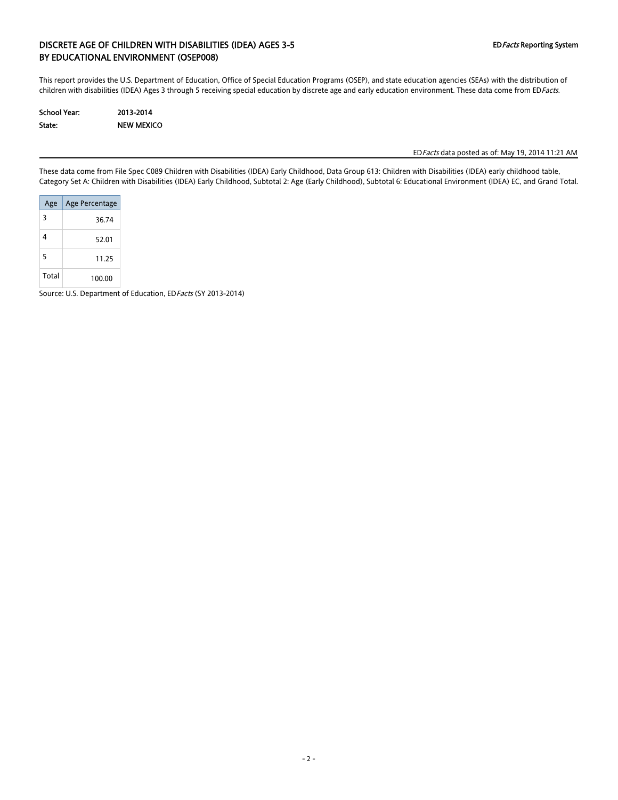### DISCRETE AGE OF CHILDREN WITH DISABILITIES (IDEA) AGES 3-5 EDFacts Reporting System BY EDUCATIONAL ENVIRONMENT (OSEP008)

This report provides the U.S. Department of Education, Office of Special Education Programs (OSEP), and state education agencies (SEAs) with the distribution of children with disabilities (IDEA) Ages 3 through 5 receiving special education by discrete age and early education environment. These data come from EDFacts.

| School Year: | 2013-2014         |
|--------------|-------------------|
| State:       | <b>NEW MEXICO</b> |

EDFacts data posted as of: May 19, 2014 11:21 AM

These data come from File Spec C089 Children with Disabilities (IDEA) Early Childhood, Data Group 613: Children with Disabilities (IDEA) early childhood table, Category Set A: Children with Disabilities (IDEA) Early Childhood, Subtotal 2: Age (Early Childhood), Subtotal 6: Educational Environment (IDEA) EC, and Grand Total.

| Age   | Age Percentage |
|-------|----------------|
| 3     | 36.74          |
| 4     | 52.01          |
| 5     | 11.25          |
| Total | 100.00         |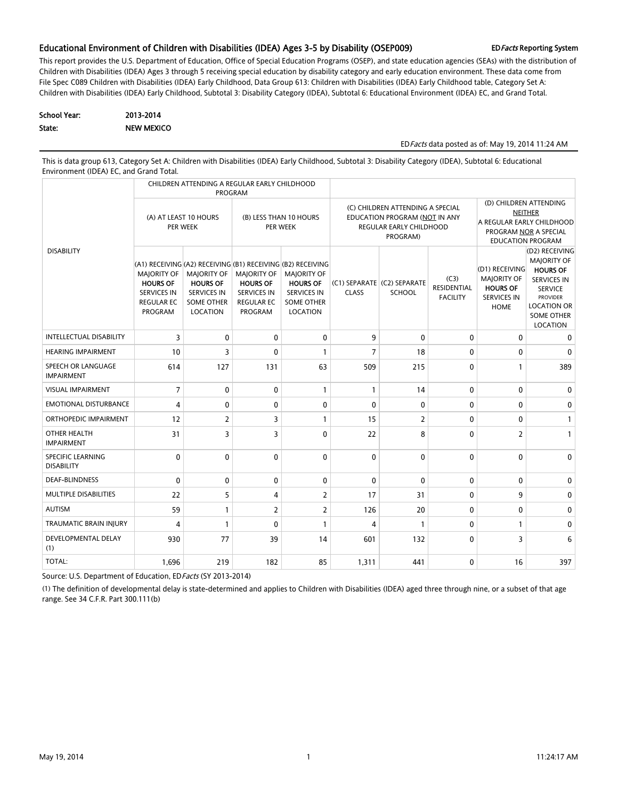#### Educational Environment of Children with Disabilities (IDEA) Ages 3-5 by Disability (OSEP009) EDFacts Reporting System

This report provides the U.S. Department of Education, Office of Special Education Programs (OSEP), and state education agencies (SEAs) with the distribution of Children with Disabilities (IDEA) Ages 3 through 5 receiving special education by disability category and early education environment. These data come from File Spec C089 Children with Disabilities (IDEA) Early Childhood, Data Group 613: Children with Disabilities (IDEA) Early Childhood table, Category Set A: Children with Disabilities (IDEA) Early Childhood, Subtotal 3: Disability Category (IDEA), Subtotal 6: Educational Environment (IDEA) EC, and Grand Total.

| School Year: | 2013-2014         |
|--------------|-------------------|
| State:       | <b>NEW MEXICO</b> |

#### EDFacts data posted as of: May 19, 2014 11:24 AM

This is data group 613, Category Set A: Children with Disabilities (IDEA) Early Childhood, Subtotal 3: Disability Category (IDEA), Subtotal 6: Educational Environment (IDEA) EC, and Grand Total.

|                                         | CHILDREN ATTENDING A REGULAR EARLY CHILDHOOD<br>PROGRAM                                                                                                           |                                                                                              |                                                                                                    |                                                                                              |                                                                                                          |                                              |                                               |                                                                                                                            |                                                                                                                                                                           |  |
|-----------------------------------------|-------------------------------------------------------------------------------------------------------------------------------------------------------------------|----------------------------------------------------------------------------------------------|----------------------------------------------------------------------------------------------------|----------------------------------------------------------------------------------------------|----------------------------------------------------------------------------------------------------------|----------------------------------------------|-----------------------------------------------|----------------------------------------------------------------------------------------------------------------------------|---------------------------------------------------------------------------------------------------------------------------------------------------------------------------|--|
|                                         | (A) AT LEAST 10 HOURS<br>PER WEEK                                                                                                                                 |                                                                                              | (B) LESS THAN 10 HOURS<br>PER WEEK                                                                 |                                                                                              | (C) CHILDREN ATTENDING A SPECIAL<br>EDUCATION PROGRAM (NOT IN ANY<br>REGULAR EARLY CHILDHOOD<br>PROGRAM) |                                              |                                               | (D) CHILDREN ATTENDING<br><b>NEITHER</b><br>A REGULAR EARLY CHILDHOOD<br>PROGRAM NOR A SPECIAL<br><b>EDUCATION PROGRAM</b> |                                                                                                                                                                           |  |
| <b>DISABILITY</b>                       | (A1) RECEIVING (A2) RECEIVING (B1) RECEIVING (B2) RECEIVING<br><b>MAJORITY OF</b><br><b>HOURS OF</b><br><b>SERVICES IN</b><br><b>REGULAR EC</b><br><b>PROGRAM</b> | <b>MAJORITY OF</b><br><b>HOURS OF</b><br><b>SERVICES IN</b><br><b>SOME OTHER</b><br>LOCATION | <b>MAJORITY OF</b><br><b>HOURS OF</b><br><b>SERVICES IN</b><br><b>REGULAR EC</b><br><b>PROGRAM</b> | <b>MAJORITY OF</b><br><b>HOURS OF</b><br><b>SERVICES IN</b><br><b>SOME OTHER</b><br>LOCATION | <b>CLASS</b>                                                                                             | (C1) SEPARATE (C2) SEPARATE<br><b>SCHOOL</b> | (C3)<br><b>RESIDENTIAL</b><br><b>FACILITY</b> | (D1) RECEIVING<br><b>MAJORITY OF</b><br><b>HOURS OF</b><br><b>SERVICES IN</b><br><b>HOME</b>                               | (D2) RECEIVING<br><b>MAJORITY OF</b><br><b>HOURS OF</b><br><b>SERVICES IN</b><br><b>SERVICE</b><br><b>PROVIDER</b><br><b>LOCATION OR</b><br><b>SOME OTHER</b><br>LOCATION |  |
| <b>INTELLECTUAL DISABILITY</b>          | 3                                                                                                                                                                 | $\mathbf{0}$                                                                                 | $\mathbf 0$                                                                                        | $\mathbf{0}$                                                                                 | 9                                                                                                        | $\mathbf 0$                                  | $\mathbf 0$                                   | 0                                                                                                                          | 0                                                                                                                                                                         |  |
| <b>HEARING IMPAIRMENT</b>               | 10                                                                                                                                                                | 3                                                                                            | $\mathbf{0}$                                                                                       | $\mathbf{1}$                                                                                 | 7                                                                                                        | 18                                           | 0                                             | 0                                                                                                                          | 0                                                                                                                                                                         |  |
| SPEECH OR LANGUAGE<br><b>IMPAIRMENT</b> | 614                                                                                                                                                               | 127                                                                                          | 131                                                                                                | 63                                                                                           | 509                                                                                                      | 215                                          | $\mathbf{0}$                                  | 1                                                                                                                          | 389                                                                                                                                                                       |  |
| <b>VISUAL IMPAIRMENT</b>                | $\overline{7}$                                                                                                                                                    | $\mathbf{0}$                                                                                 | $\mathbf 0$                                                                                        | $\mathbf{1}$                                                                                 | $\mathbf{1}$                                                                                             | 14                                           | $\mathbf 0$                                   | $\mathbf 0$                                                                                                                | 0                                                                                                                                                                         |  |
| <b>EMOTIONAL DISTURBANCE</b>            | 4                                                                                                                                                                 | $\mathbf{0}$                                                                                 | $\mathbf{0}$                                                                                       | $\mathbf{0}$                                                                                 | $\mathbf{0}$                                                                                             | 0                                            | $\mathbf 0$                                   | $\mathbf{0}$                                                                                                               | 0                                                                                                                                                                         |  |
| ORTHOPEDIC IMPAIRMENT                   | 12                                                                                                                                                                | $\overline{2}$                                                                               | 3                                                                                                  | $\mathbf{1}$                                                                                 | 15                                                                                                       | $\overline{2}$                               | $\mathbf{0}$                                  | $\Omega$                                                                                                                   | $\mathbf{1}$                                                                                                                                                              |  |
| OTHER HEALTH<br><b>IMPAIRMENT</b>       | 31                                                                                                                                                                | 3                                                                                            | 3                                                                                                  | $\Omega$                                                                                     | 22                                                                                                       | 8                                            | $\mathbf{0}$                                  | $\overline{2}$                                                                                                             | $\mathbf{1}$                                                                                                                                                              |  |
| SPECIFIC LEARNING<br><b>DISABILITY</b>  | $\mathbf{0}$                                                                                                                                                      | $\mathbf{0}$                                                                                 | $\mathbf{0}$                                                                                       | $\Omega$                                                                                     | $\mathbf 0$                                                                                              | $\mathbf{0}$                                 | $\mathbf 0$                                   | $\Omega$                                                                                                                   | $\mathbf{0}$                                                                                                                                                              |  |
| <b>DEAF-BLINDNESS</b>                   | 0                                                                                                                                                                 | $\mathbf{0}$                                                                                 | $\mathbf{0}$                                                                                       | $\mathbf{0}$                                                                                 | $\mathbf{0}$                                                                                             | $\mathbf{0}$                                 | $\mathbf 0$                                   | $\mathbf{0}$                                                                                                               | 0                                                                                                                                                                         |  |
| MULTIPLE DISABILITIES                   | 22                                                                                                                                                                | 5                                                                                            | $\overline{4}$                                                                                     | $\overline{2}$                                                                               | 17                                                                                                       | 31                                           | $\mathbf 0$                                   | 9                                                                                                                          | $\mathbf{0}$                                                                                                                                                              |  |
| <b>AUTISM</b>                           | 59                                                                                                                                                                | 1                                                                                            | 2                                                                                                  | $\overline{2}$                                                                               | 126                                                                                                      | 20                                           | $\mathbf 0$                                   | 0                                                                                                                          | 0                                                                                                                                                                         |  |
| <b>TRAUMATIC BRAIN INJURY</b>           | 4                                                                                                                                                                 | $\mathbf{1}$                                                                                 | $\mathbf{0}$                                                                                       | $\mathbf{1}$                                                                                 | $\overline{4}$                                                                                           | $\mathbf{1}$                                 | $\mathbf 0$                                   | 1                                                                                                                          | 0                                                                                                                                                                         |  |
| DEVELOPMENTAL DELAY<br>(1)              | 930                                                                                                                                                               | 77                                                                                           | 39                                                                                                 | 14                                                                                           | 601                                                                                                      | 132                                          | $\mathbf{0}$                                  | 3                                                                                                                          | 6                                                                                                                                                                         |  |
| <b>TOTAL:</b>                           | 1,696                                                                                                                                                             | 219                                                                                          | 182                                                                                                | 85                                                                                           | 1,311                                                                                                    | 441                                          | $\mathbf 0$                                   | 16                                                                                                                         | 397                                                                                                                                                                       |  |

Source: U.S. Department of Education, EDFacts (SY 2013-2014)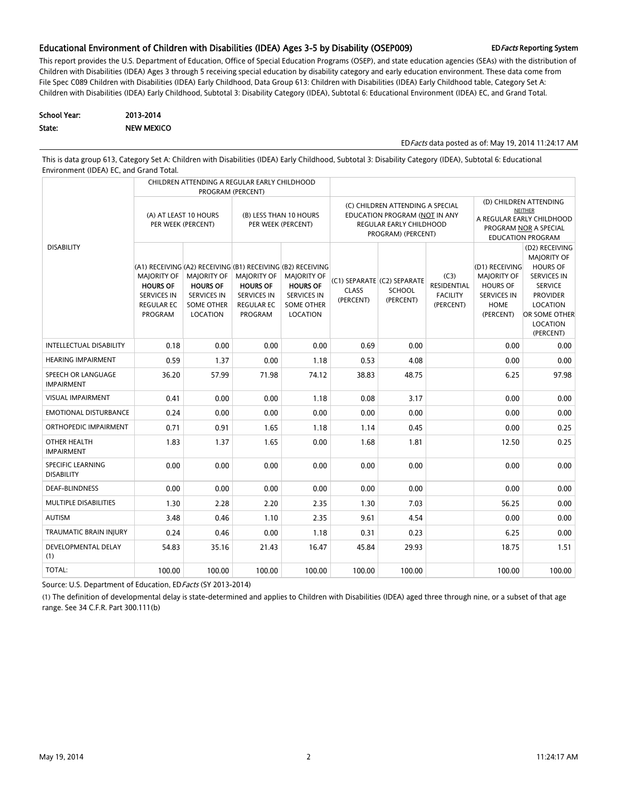#### Educational Environment of Children with Disabilities (IDEA) Ages 3-5 by Disability (OSEP009) EDFacts Reporting System

This report provides the U.S. Department of Education, Office of Special Education Programs (OSEP), and state education agencies (SEAs) with the distribution of Children with Disabilities (IDEA) Ages 3 through 5 receiving special education by disability category and early education environment. These data come from File Spec C089 Children with Disabilities (IDEA) Early Childhood, Data Group 613: Children with Disabilities (IDEA) Early Childhood table, Category Set A: Children with Disabilities (IDEA) Early Childhood, Subtotal 3: Disability Category (IDEA), Subtotal 6: Educational Environment (IDEA) EC, and Grand Total.

| School Year: | 2013-2014         |
|--------------|-------------------|
| State:       | <b>NEW MEXICO</b> |

EDFacts data posted as of: May 19, 2014 11:24:17 AM

This is data group 613, Category Set A: Children with Disabilities (IDEA) Early Childhood, Subtotal 3: Disability Category (IDEA), Subtotal 6: Educational Environment (IDEA) EC, and Grand Total.

|                                               |                                                                                             | CHILDREN ATTENDING A REGULAR EARLY CHILDHOOD                                                                                                                | PROGRAM (PERCENT)                                                                           |                                                                                              |                           |                                                                                                                    |                                                                                                                     |                                                                                                    |                                                                                                                                                                          |
|-----------------------------------------------|---------------------------------------------------------------------------------------------|-------------------------------------------------------------------------------------------------------------------------------------------------------------|---------------------------------------------------------------------------------------------|----------------------------------------------------------------------------------------------|---------------------------|--------------------------------------------------------------------------------------------------------------------|---------------------------------------------------------------------------------------------------------------------|----------------------------------------------------------------------------------------------------|--------------------------------------------------------------------------------------------------------------------------------------------------------------------------|
|                                               | (A) AT LEAST 10 HOURS<br>PER WEEK (PERCENT)                                                 |                                                                                                                                                             | (B) LESS THAN 10 HOURS<br>PER WEEK (PERCENT)                                                |                                                                                              |                           | (C) CHILDREN ATTENDING A SPECIAL<br>EDUCATION PROGRAM (NOT IN ANY<br>REGULAR EARLY CHILDHOOD<br>PROGRAM) (PERCENT) | (D) CHILDREN ATTENDING<br>NEITHER<br>A REGULAR EARLY CHILDHOOD<br>PROGRAM NOR A SPECIAL<br><b>EDUCATION PROGRAM</b> |                                                                                                    |                                                                                                                                                                          |
| <b>DISABILITY</b>                             | MAJORITY OF<br><b>HOURS OF</b><br><b>SERVICES IN</b><br><b>REGULAR EC</b><br><b>PROGRAM</b> | (A1) RECEIVING (A2) RECEIVING (B1) RECEIVING (B2) RECEIVING<br><b>MAJORITY OF</b><br><b>HOURS OF</b><br><b>SERVICES IN</b><br><b>SOME OTHER</b><br>LOCATION | MAJORITY OF<br><b>HOURS OF</b><br><b>SERVICES IN</b><br><b>REGULAR EC</b><br><b>PROGRAM</b> | <b>MAJORITY OF</b><br><b>HOURS OF</b><br><b>SERVICES IN</b><br><b>SOME OTHER</b><br>LOCATION | <b>CLASS</b><br>(PERCENT) | (C1) SEPARATE (C2) SEPARATE<br>SCHOOL<br>(PERCENT)                                                                 | (C3)<br>RESIDENTIAL<br><b>FACILITY</b><br>(PERCENT)                                                                 | (D1) RECEIVING<br><b>MAJORITY OF</b><br><b>HOURS OF</b><br><b>SERVICES IN</b><br>HOME<br>(PERCENT) | (D2) RECEIVING<br><b>MAJORITY OF</b><br><b>HOURS OF</b><br><b>SERVICES IN</b><br><b>SERVICE</b><br><b>PROVIDER</b><br>LOCATION<br>OR SOME OTHER<br>LOCATION<br>(PERCENT) |
| <b>INTELLECTUAL DISABILITY</b>                | 0.18                                                                                        | 0.00                                                                                                                                                        | 0.00                                                                                        | 0.00                                                                                         | 0.69                      | 0.00                                                                                                               |                                                                                                                     | 0.00                                                                                               | 0.00                                                                                                                                                                     |
| <b>HEARING IMPAIRMENT</b>                     | 0.59                                                                                        | 1.37                                                                                                                                                        | 0.00                                                                                        | 1.18                                                                                         | 0.53                      | 4.08                                                                                                               |                                                                                                                     | 0.00                                                                                               | 0.00                                                                                                                                                                     |
| SPEECH OR LANGUAGE<br><b>IMPAIRMENT</b>       | 36.20                                                                                       | 57.99                                                                                                                                                       | 71.98                                                                                       | 74.12                                                                                        | 38.83                     | 48.75                                                                                                              |                                                                                                                     | 6.25                                                                                               | 97.98                                                                                                                                                                    |
| <b>VISUAL IMPAIRMENT</b>                      | 0.41                                                                                        | 0.00                                                                                                                                                        | 0.00                                                                                        | 1.18                                                                                         | 0.08                      | 3.17                                                                                                               |                                                                                                                     | 0.00                                                                                               | 0.00                                                                                                                                                                     |
| <b>EMOTIONAL DISTURBANCE</b>                  | 0.24                                                                                        | 0.00                                                                                                                                                        | 0.00                                                                                        | 0.00                                                                                         | 0.00                      | 0.00                                                                                                               |                                                                                                                     | 0.00                                                                                               | 0.00                                                                                                                                                                     |
| ORTHOPEDIC IMPAIRMENT                         | 0.71                                                                                        | 0.91                                                                                                                                                        | 1.65                                                                                        | 1.18                                                                                         | 1.14                      | 0.45                                                                                                               |                                                                                                                     | 0.00                                                                                               | 0.25                                                                                                                                                                     |
| OTHER HEALTH<br><b>IMPAIRMENT</b>             | 1.83                                                                                        | 1.37                                                                                                                                                        | 1.65                                                                                        | 0.00                                                                                         | 1.68                      | 1.81                                                                                                               |                                                                                                                     | 12.50                                                                                              | 0.25                                                                                                                                                                     |
| <b>SPECIFIC LEARNING</b><br><b>DISABILITY</b> | 0.00                                                                                        | 0.00                                                                                                                                                        | 0.00                                                                                        | 0.00                                                                                         | 0.00                      | 0.00                                                                                                               |                                                                                                                     | 0.00                                                                                               | 0.00                                                                                                                                                                     |
| <b>DEAF-BLINDNESS</b>                         | 0.00                                                                                        | 0.00                                                                                                                                                        | 0.00                                                                                        | 0.00                                                                                         | 0.00                      | 0.00                                                                                                               |                                                                                                                     | 0.00                                                                                               | 0.00                                                                                                                                                                     |
| MULTIPLE DISABILITIES                         | 1.30                                                                                        | 2.28                                                                                                                                                        | 2.20                                                                                        | 2.35                                                                                         | 1.30                      | 7.03                                                                                                               |                                                                                                                     | 56.25                                                                                              | 0.00                                                                                                                                                                     |
| <b>AUTISM</b>                                 | 3.48                                                                                        | 0.46                                                                                                                                                        | 1.10                                                                                        | 2.35                                                                                         | 9.61                      | 4.54                                                                                                               |                                                                                                                     | 0.00                                                                                               | 0.00                                                                                                                                                                     |
| <b>TRAUMATIC BRAIN INJURY</b>                 | 0.24                                                                                        | 0.46                                                                                                                                                        | 0.00                                                                                        | 1.18                                                                                         | 0.31                      | 0.23                                                                                                               |                                                                                                                     | 6.25                                                                                               | 0.00                                                                                                                                                                     |
| <b>DEVELOPMENTAL DELAY</b><br>(1)             | 54.83                                                                                       | 35.16                                                                                                                                                       | 21.43                                                                                       | 16.47                                                                                        | 45.84                     | 29.93                                                                                                              |                                                                                                                     | 18.75                                                                                              | 1.51                                                                                                                                                                     |
| TOTAL:                                        | 100.00                                                                                      | 100.00                                                                                                                                                      | 100.00                                                                                      | 100.00                                                                                       | 100.00                    | 100.00                                                                                                             |                                                                                                                     | 100.00                                                                                             | 100.00                                                                                                                                                                   |

Source: U.S. Department of Education, ED Facts (SY 2013-2014)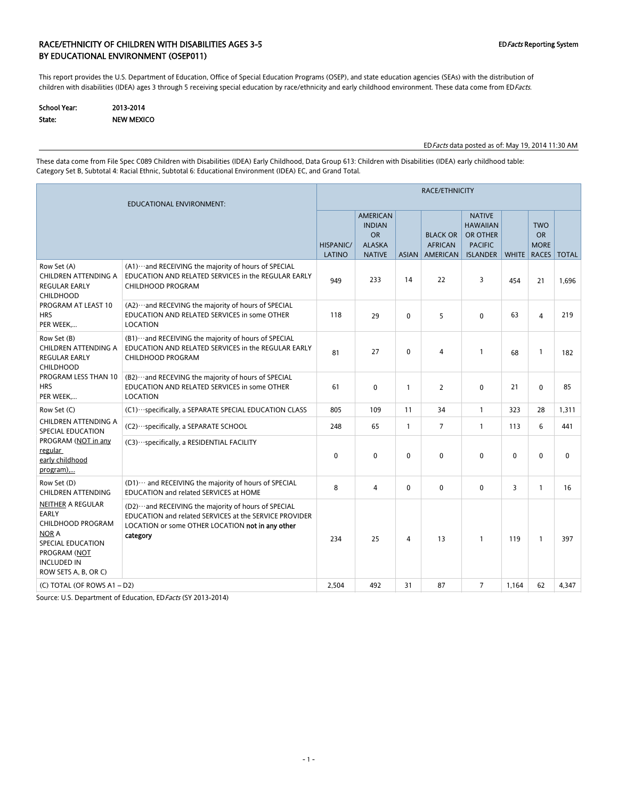### RACE/ETHNICITY OF CHILDREN WITH DISABILITIES AGES 3-5 CHILDREY ASSESS AND REPORT OF CHILDREY System BY EDUCATIONAL ENVIRONMENT (OSEP011)

This report provides the U.S. Department of Education, Office of Special Education Programs (OSEP), and state education agencies (SEAs) with the distribution of children with disabilities (IDEA) ages 3 through 5 receiving special education by race/ethnicity and early childhood environment. These data come from EDFacts.

| School Year: | 2013-2014         |
|--------------|-------------------|
| State:       | <b>NEW MEXICO</b> |

EDFacts data posted as of: May 19, 2014 11:30 AM

These data come from File Spec C089 Children with Disabilities (IDEA) Early Childhood, Data Group 613: Children with Disabilities (IDEA) early childhood table: Category Set B, Subtotal 4: Racial Ethnic, Subtotal 6: Educational Environment (IDEA) EC, and Grand Total.

| EDUCATIONAL ENVIRONMENT:                                                                                                                                                |                                                                                                                                                                                   |                            | RACE/ETHNICITY                                                                  |              |                                                      |                                                                                   |              |                                                             |             |  |  |  |
|-------------------------------------------------------------------------------------------------------------------------------------------------------------------------|-----------------------------------------------------------------------------------------------------------------------------------------------------------------------------------|----------------------------|---------------------------------------------------------------------------------|--------------|------------------------------------------------------|-----------------------------------------------------------------------------------|--------------|-------------------------------------------------------------|-------------|--|--|--|
|                                                                                                                                                                         |                                                                                                                                                                                   | <b>HISPANIC/</b><br>LATINO | <b>AMERICAN</b><br><b>INDIAN</b><br><b>OR</b><br><b>ALASKA</b><br><b>NATIVE</b> | ASIAN        | <b>BLACK OR</b><br><b>AFRICAN</b><br><b>AMERICAN</b> | <b>NATIVE</b><br><b>HAWAIIAN</b><br>OR OTHER<br><b>PACIFIC</b><br><b>ISLANDER</b> |              | <b>TWO</b><br><b>OR</b><br><b>MORE</b><br>WHITE RACES TOTAL |             |  |  |  |
| Row Set (A)<br>CHILDREN ATTENDING A<br><b>REGULAR EARLY</b><br><b>CHILDHOOD</b>                                                                                         | (A1) ··· and RECEIVING the majority of hours of SPECIAL<br>EDUCATION AND RELATED SERVICES in the REGULAR EARLY<br><b>CHILDHOOD PROGRAM</b>                                        | 949                        | 233                                                                             | 14           | 22                                                   | 3                                                                                 | 454          | 21                                                          | 1.696       |  |  |  |
| PROGRAM AT LEAST 10<br><b>HRS</b><br>PER WEEK                                                                                                                           | (A2) ··· and RECEVING the majority of hours of SPECIAL<br>EDUCATION AND RELATED SERVICES in some OTHER<br><b>LOCATION</b>                                                         | 118                        | 29                                                                              | $\mathbf{0}$ | 5                                                    | $\mathbf{0}$                                                                      | 63           | 4                                                           | 219         |  |  |  |
| Row Set (B)<br>CHILDREN ATTENDING A<br><b>REGULAR EARLY</b><br><b>CHILDHOOD</b><br>PROGRAM LESS THAN 10<br><b>HRS</b><br>PER WEEK                                       | (B1) ··· and RECEIVING the majority of hours of SPECIAL<br>EDUCATION AND RELATED SERVICES in the REGULAR EARLY<br><b>CHILDHOOD PROGRAM</b>                                        | 81                         | 27                                                                              | 0            | 4                                                    | $\mathbf{1}$                                                                      | 68           | $\mathbf{1}$                                                | 182         |  |  |  |
|                                                                                                                                                                         | (B2) ··· and RECEVING the majority of hours of SPECIAL<br>EDUCATION AND RELATED SERVICES in some OTHER<br>LOCATION                                                                | 61                         | $\mathbf 0$                                                                     | $\mathbf{1}$ | $\overline{2}$                                       | $\mathbf{0}$                                                                      | 21           | $\mathbf{0}$                                                | 85          |  |  |  |
| Row Set (C)                                                                                                                                                             | (C1) ··· specifically, a SEPARATE SPECIAL EDUCATION CLASS                                                                                                                         | 805                        | 109                                                                             | 11           | 34                                                   | $\mathbf{1}$                                                                      | 323          | 28                                                          | 1,311       |  |  |  |
| CHILDREN ATTENDING A<br>SPECIAL EDUCATION                                                                                                                               | (C2) ··· specifically, a SEPARATE SCHOOL                                                                                                                                          | 248                        | 65                                                                              | $\mathbf{1}$ | $\overline{7}$                                       | $\mathbf{1}$                                                                      | 113          | 6                                                           | 441         |  |  |  |
| PROGRAM (NOT in any<br>regular<br>early childhood<br>program),                                                                                                          | (C3) ··· specifically, a RESIDENTIAL FACILITY                                                                                                                                     | 0                          | $\mathbf 0$                                                                     | $\Omega$     | 0                                                    | 0                                                                                 | $\mathbf{0}$ | 0                                                           | $\mathbf 0$ |  |  |  |
| Row Set (D)<br><b>CHILDREN ATTENDING</b>                                                                                                                                | (D1) ··· and RECEIVING the majority of hours of SPECIAL<br>EDUCATION and related SERVICES at HOME                                                                                 | 8                          | 4                                                                               | 0            | $\mathbf 0$                                          | 0                                                                                 | 3            | $\mathbf{1}$                                                | 16          |  |  |  |
| <b>NEITHER A REGULAR</b><br><b>EARLY</b><br><b>CHILDHOOD PROGRAM</b><br><b>NOR A</b><br>SPECIAL EDUCATION<br>PROGRAM (NOT<br><b>INCLUDED IN</b><br>ROW SETS A, B, OR C) | (D2) ··· and RECEIVING the majority of hours of SPECIAL<br>EDUCATION and related SERVICES at the SERVICE PROVIDER<br>LOCATION or some OTHER LOCATION not in any other<br>category | 234                        | 25                                                                              | 4            | 13                                                   | $\mathbf{1}$                                                                      | 119          | $\mathbf{1}$                                                | 397         |  |  |  |
| (C) TOTAL (OF ROWS A1 - D2)                                                                                                                                             |                                                                                                                                                                                   | 2,504                      | 492                                                                             | 31           | 87                                                   | $\overline{7}$                                                                    | 1,164        | 62                                                          | 4,347       |  |  |  |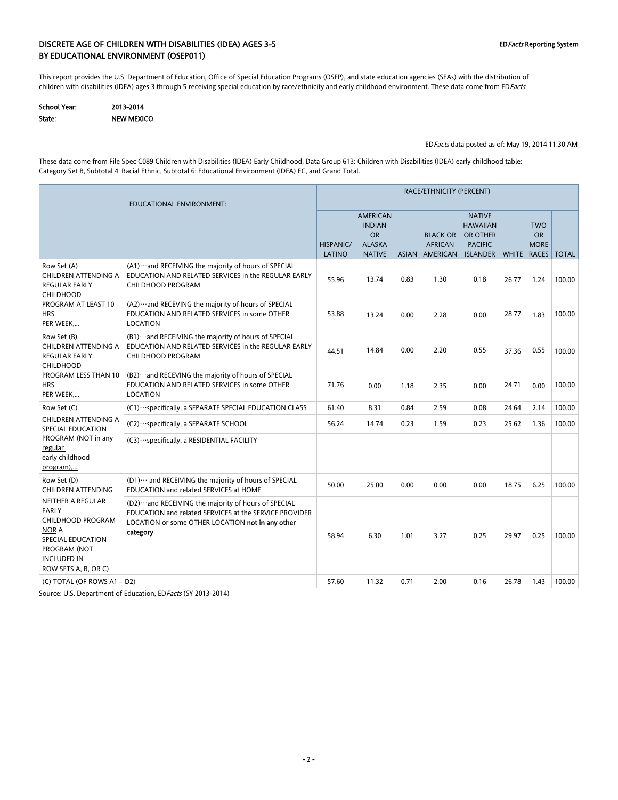### DISCRETE AGE OF CHILDREN WITH DISABILITIES (IDEA) AGES 3-5 EDFacts Reporting System BY EDUCATIONAL ENVIRONMENT (OSEP011)

This report provides the U.S. Department of Education, Office of Special Education Programs (OSEP), and state education agencies (SEAs) with the distribution of children with disabilities (IDEA) ages 3 through 5 receiving special education by race/ethnicity and early childhood environment. These data come from EDFacts.

| School Year: | 2013-2014  |
|--------------|------------|
| State:       | NEW MEXICO |

EDFacts data posted as of: May 19, 2014 11:30 AM

These data come from File Spec C089 Children with Disabilities (IDEA) Early Childhood, Data Group 613: Children with Disabilities (IDEA) early childhood table: Category Set B, Subtotal 4: Racial Ethnic, Subtotal 6: Educational Environment (IDEA) EC, and Grand Total.

| EDUCATIONAL ENVIRONMENT:                                                                                                                           |                                                                                                                                                                                   |                            | RACE/ETHNICITY (PERCENT)                                                        |      |                                                     |                                                                                   |       |                                                       |              |  |  |  |
|----------------------------------------------------------------------------------------------------------------------------------------------------|-----------------------------------------------------------------------------------------------------------------------------------------------------------------------------------|----------------------------|---------------------------------------------------------------------------------|------|-----------------------------------------------------|-----------------------------------------------------------------------------------|-------|-------------------------------------------------------|--------------|--|--|--|
|                                                                                                                                                    |                                                                                                                                                                                   | <b>HISPANIC/</b><br>LATINO | <b>AMERICAN</b><br><b>INDIAN</b><br><b>OR</b><br><b>ALASKA</b><br><b>NATIVE</b> |      | <b>BLACK OR</b><br><b>AFRICAN</b><br>ASIAN AMERICAN | <b>NATIVE</b><br><b>HAWAIIAN</b><br>OR OTHER<br><b>PACIFIC</b><br><b>ISLANDER</b> |       | <b>TWO</b><br><b>OR</b><br><b>MORE</b><br>WHITE RACES | <b>TOTAL</b> |  |  |  |
| Row Set (A)<br><b>CHILDREN ATTENDING A</b><br><b>REGULAR EARLY</b><br><b>CHILDHOOD</b><br>PROGRAM AT LEAST 10<br><b>HRS</b><br>PER WEEK            | (A1) ··· and RECEIVING the majority of hours of SPECIAL<br>EDUCATION AND RELATED SERVICES in the REGULAR EARLY<br><b>CHILDHOOD PROGRAM</b>                                        | 55.96                      | 13.74                                                                           | 0.83 | 1.30                                                | 0.18                                                                              | 26.77 | 1.24                                                  | 100.00       |  |  |  |
|                                                                                                                                                    | (A2) ··· and RECEVING the majority of hours of SPECIAL<br>EDUCATION AND RELATED SERVICES in some OTHER<br>LOCATION                                                                | 53.88                      | 13.24                                                                           | 0.00 | 2.28                                                | 0.00                                                                              | 28.77 | 1.83                                                  | 100.00       |  |  |  |
| Row Set (B)<br>CHILDREN ATTENDING A<br><b>REGULAR EARLY</b><br><b>CHILDHOOD</b><br><b>PROGRAM LESS THAN 10</b><br><b>HRS</b><br>PER WEEK           | (B1) ··· and RECEIVING the majority of hours of SPECIAL<br>EDUCATION AND RELATED SERVICES in the REGULAR EARLY<br><b>CHILDHOOD PROGRAM</b>                                        | 44.51                      | 14.84                                                                           | 0.00 | 2.20                                                | 0.55                                                                              | 37.36 | 0.55                                                  | 100.00       |  |  |  |
|                                                                                                                                                    | (B2) ··· and RECEVING the majority of hours of SPECIAL<br>EDUCATION AND RELATED SERVICES in some OTHER<br>LOCATION                                                                | 71.76                      | 0.00                                                                            | 1.18 | 2.35                                                | 0.00                                                                              | 24.71 | 0.00                                                  | 100.00       |  |  |  |
| Row Set (C)                                                                                                                                        | (C1) ··· specifically, a SEPARATE SPECIAL EDUCATION CLASS                                                                                                                         | 61.40                      | 8.31                                                                            | 0.84 | 2.59                                                | 0.08                                                                              | 24.64 | 2.14                                                  | 100.00       |  |  |  |
| CHILDREN ATTENDING A<br>SPECIAL EDUCATION                                                                                                          | (C2) ··· specifically, a SEPARATE SCHOOL                                                                                                                                          | 56.24                      | 14.74                                                                           | 0.23 | 1.59                                                | 0.23                                                                              | 25.62 | 1.36                                                  | 100.00       |  |  |  |
| PROGRAM (NOT in any<br>regular<br>early childhood<br>program),                                                                                     | (C3) ··· specifically, a RESIDENTIAL FACILITY                                                                                                                                     |                            |                                                                                 |      |                                                     |                                                                                   |       |                                                       |              |  |  |  |
| Row Set (D)<br><b>CHILDREN ATTENDING</b>                                                                                                           | (D1) ··· and RECEIVING the majority of hours of SPECIAL<br>EDUCATION and related SERVICES at HOME                                                                                 | 50.00                      | 25.00                                                                           | 0.00 | 0.00                                                | 0.00                                                                              | 18.75 | 6.25                                                  | 100.00       |  |  |  |
| NEITHER A REGULAR<br>EARLY<br>CHILDHOOD PROGRAM<br><b>NOR A</b><br>SPECIAL EDUCATION<br>PROGRAM (NOT<br><b>INCLUDED IN</b><br>ROW SETS A, B, OR C) | (D2) ··· and RECEIVING the majority of hours of SPECIAL<br>EDUCATION and related SERVICES at the SERVICE PROVIDER<br>LOCATION or some OTHER LOCATION not in any other<br>category | 58.94                      | 6.30                                                                            | 1.01 | 3.27                                                | 0.25                                                                              | 29.97 | 0.25                                                  | 100.00       |  |  |  |
| (C) TOTAL (OF ROWS A1 - D2)                                                                                                                        |                                                                                                                                                                                   | 57.60                      | 11.32                                                                           | 0.71 | 2.00                                                | 0.16                                                                              | 26.78 | 1.43                                                  | 100.00       |  |  |  |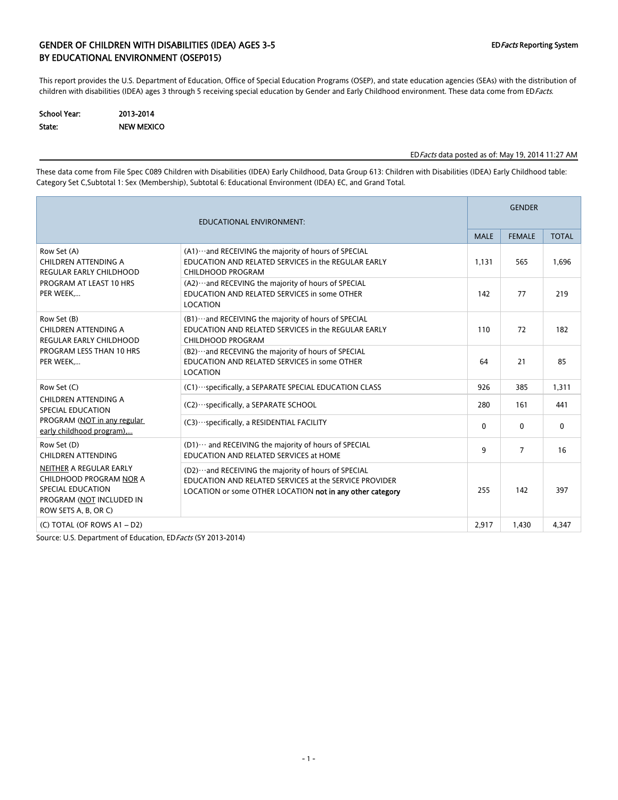### GENDER OF CHILDREN WITH DISABILITIES (IDEA) AGES 3-5 EDFacts Reporting System BY EDUCATIONAL ENVIRONMENT (OSEP015)

This report provides the U.S. Department of Education, Office of Special Education Programs (OSEP), and state education agencies (SEAs) with the distribution of children with disabilities (IDEA) ages 3 through 5 receiving special education by Gender and Early Childhood environment. These data come from EDFacts.

| <b>School Year:</b> | 2013-2014         |  |  |  |  |
|---------------------|-------------------|--|--|--|--|
| State:              | <b>NEW MEXICO</b> |  |  |  |  |

#### EDFacts data posted as of: May 19, 2014 11:27 AM

These data come from File Spec C089 Children with Disabilities (IDEA) Early Childhood, Data Group 613: Children with Disabilities (IDEA) Early Childhood table: Category Set C,Subtotal 1: Sex (Membership), Subtotal 6: Educational Environment (IDEA) EC, and Grand Total.

| <b>EDUCATIONAL ENVIRONMENT:</b>                                                                                             |                                                                                                                                                                                |              |                | <b>GENDER</b> |  |  |  |
|-----------------------------------------------------------------------------------------------------------------------------|--------------------------------------------------------------------------------------------------------------------------------------------------------------------------------|--------------|----------------|---------------|--|--|--|
|                                                                                                                             |                                                                                                                                                                                | <b>MALE</b>  | <b>FEMALE</b>  | <b>TOTAL</b>  |  |  |  |
| Row Set (A)<br>CHILDREN ATTENDING A<br><b>REGULAR EARLY CHILDHOOD</b>                                                       | 1.131                                                                                                                                                                          | 565          | 1.696          |               |  |  |  |
| PROGRAM AT LEAST 10 HRS<br>PER WEEK                                                                                         | (A2)  and RECEVING the majority of hours of SPECIAL<br>EDUCATION AND RELATED SERVICES in some OTHER<br><b>LOCATION</b>                                                         | 142          | 77             | 219           |  |  |  |
| Row Set (B)<br><b>CHILDREN ATTENDING A</b><br><b>REGULAR EARLY CHILDHOOD</b>                                                | (B1) ··· and RECEIVING the majority of hours of SPECIAL<br>EDUCATION AND RELATED SERVICES in the REGULAR EARLY<br>CHILDHOOD PROGRAM                                            | 110          | 72             | 182           |  |  |  |
| PROGRAM LESS THAN 10 HRS<br>PER WEEK                                                                                        | (B2) ··· and RECEVING the majority of hours of SPECIAL<br>EDUCATION AND RELATED SERVICES in some OTHER<br><b>LOCATION</b>                                                      | 64           | 21             | 85            |  |  |  |
| Row Set (C)                                                                                                                 | (C1) ··· specifically, a SEPARATE SPECIAL EDUCATION CLASS                                                                                                                      | 926          | 385            | 1,311         |  |  |  |
| CHILDREN ATTENDING A<br><b>SPECIAL EDUCATION</b>                                                                            | (C2) · · · specifically, a SEPARATE SCHOOL                                                                                                                                     | 280          | 161            | 441           |  |  |  |
| PROGRAM (NOT in any regular<br>early childhood program)                                                                     | (C3) ··· specifically, a RESIDENTIAL FACILITY                                                                                                                                  | $\mathbf{0}$ | $\mathbf{0}$   | $\mathbf{0}$  |  |  |  |
| Row Set (D)<br>CHILDREN ATTENDING                                                                                           | (D1)  and RECEIVING the majority of hours of SPECIAL<br>EDUCATION AND RELATED SERVICES at HOME                                                                                 | 9            | $\overline{7}$ | 16            |  |  |  |
| NEITHER A REGULAR EARLY<br>CHILDHOOD PROGRAM NOR A<br>SPECIAL EDUCATION<br>PROGRAM (NOT INCLUDED IN<br>ROW SETS A, B, OR C) | (D2) ··· and RECEIVING the majority of hours of SPECIAL<br>EDUCATION AND RELATED SERVICES at the SERVICE PROVIDER<br>LOCATION or some OTHER LOCATION not in any other category | 255          | 142            | 397           |  |  |  |
| (C) TOTAL (OF ROWS A1 - D2)                                                                                                 |                                                                                                                                                                                | 2,917        | 1,430          | 4,347         |  |  |  |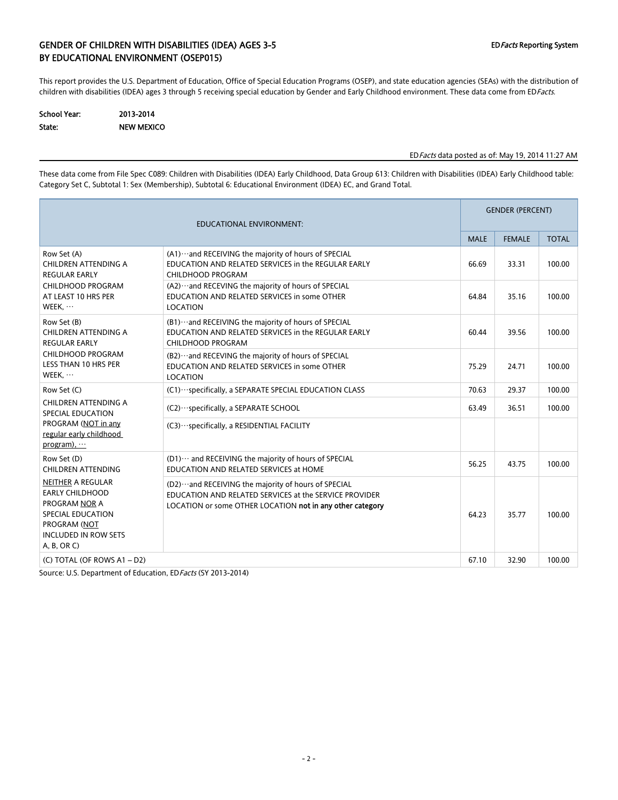### GENDER OF CHILDREN WITH DISABILITIES (IDEA) AGES 3-5 EDFacts Reporting System BY EDUCATIONAL ENVIRONMENT (OSEP015)

This report provides the U.S. Department of Education, Office of Special Education Programs (OSEP), and state education agencies (SEAs) with the distribution of children with disabilities (IDEA) ages 3 through 5 receiving special education by Gender and Early Childhood environment. These data come from EDFacts.

| School Year: | 2013-2014         |
|--------------|-------------------|
| State:       | <b>NEW MEXICO</b> |

### EDFacts data posted as of: May 19, 2014 11:27 AM

These data come from File Spec C089: Children with Disabilities (IDEA) Early Childhood, Data Group 613: Children with Disabilities (IDEA) Early Childhood table: Category Set C, Subtotal 1: Sex (Membership), Subtotal 6: Educational Environment (IDEA) EC, and Grand Total.

| <b>EDUCATIONAL ENVIRONMENT:</b>                                                                                                                              |                                                                                                                                                                                |             |               | <b>GENDER (PERCENT)</b> |  |  |  |
|--------------------------------------------------------------------------------------------------------------------------------------------------------------|--------------------------------------------------------------------------------------------------------------------------------------------------------------------------------|-------------|---------------|-------------------------|--|--|--|
|                                                                                                                                                              |                                                                                                                                                                                | <b>MALE</b> | <b>FEMALE</b> | <b>TOTAL</b>            |  |  |  |
| Row Set (A)<br>CHILDREN ATTENDING A<br><b>REGULAR EARLY</b>                                                                                                  | (A1) ··· and RECEIVING the majority of hours of SPECIAL<br>EDUCATION AND RELATED SERVICES in the REGULAR EARLY<br>CHILDHOOD PROGRAM                                            | 66.69       | 33.31         | 100.00                  |  |  |  |
| CHILDHOOD PROGRAM<br>AT LEAST 10 HRS PER<br>WEEK,                                                                                                            | (A2) ··· and RECEVING the majority of hours of SPECIAL<br>EDUCATION AND RELATED SERVICES in some OTHER<br>LOCATION                                                             | 64.84       | 35.16         | 100.00                  |  |  |  |
| Row Set (B)<br>CHILDREN ATTENDING A<br><b>REGULAR EARLY</b>                                                                                                  | (B1)  and RECEIVING the majority of hours of SPECIAL<br>EDUCATION AND RELATED SERVICES in the REGULAR EARLY<br>CHILDHOOD PROGRAM                                               | 60.44       | 39.56         | 100.00                  |  |  |  |
| CHILDHOOD PROGRAM<br><b>LESS THAN 10 HRS PER</b><br>WEEK,                                                                                                    | (B2)  and RECEVING the majority of hours of SPECIAL<br>EDUCATION AND RELATED SERVICES in some OTHER<br>LOCATION                                                                | 75.29       | 24.71         | 100.00                  |  |  |  |
| Row Set (C)                                                                                                                                                  | (C1) ··· specifically, a SEPARATE SPECIAL EDUCATION CLASS                                                                                                                      | 70.63       | 29.37         | 100.00                  |  |  |  |
| CHILDREN ATTENDING A<br>SPECIAL EDUCATION<br>PROGRAM (NOT in any<br>regular early childhood<br>program), $\cdots$                                            | (C2) · ·· specifically, a SEPARATE SCHOOL                                                                                                                                      | 63.49       | 36.51         | 100.00                  |  |  |  |
|                                                                                                                                                              | (C3) · · · specifically, a RESIDENTIAL FACILITY                                                                                                                                |             |               |                         |  |  |  |
| Row Set (D)<br><b>CHILDREN ATTENDING</b>                                                                                                                     | (D1) ··· and RECEIVING the majority of hours of SPECIAL<br>EDUCATION AND RELATED SERVICES at HOME                                                                              | 56.25       | 43.75         | 100.00                  |  |  |  |
| <b>NEITHER A REGULAR</b><br><b>EARLY CHILDHOOD</b><br><b>PROGRAM NOR A</b><br>SPECIAL EDUCATION<br>PROGRAM (NOT<br><b>INCLUDED IN ROW SETS</b><br>A, B, OR C | (D2) ··· and RECEIVING the majority of hours of SPECIAL<br>EDUCATION AND RELATED SERVICES at the SERVICE PROVIDER<br>LOCATION or some OTHER LOCATION not in any other category | 64.23       | 35.77         | 100.00                  |  |  |  |
| (C) TOTAL (OF ROWS A1 - D2)                                                                                                                                  |                                                                                                                                                                                | 67.10       | 32.90         | 100.00                  |  |  |  |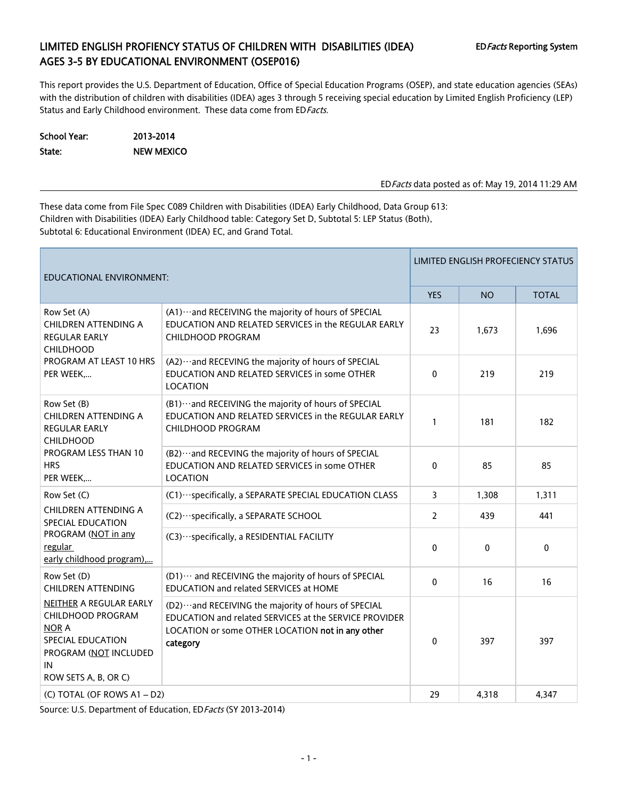## LIMITED ENGLISH PROFIENCY STATUS OF CHILDREN WITH DISABILITIES (IDEA) EDFacts Reporting System AGES 3-5 BY EDUCATIONAL ENVIRONMENT (OSEP016)

This report provides the U.S. Department of Education, Office of Special Education Programs (OSEP), and state education agencies (SEAs) with the distribution of children with disabilities (IDEA) ages 3 through 5 receiving special education by Limited English Proficiency (LEP) Status and Early Childhood environment. These data come from ED Facts.

| School Year: | 2013-2014         |
|--------------|-------------------|
| State:       | <b>NEW MEXICO</b> |

EDFacts data posted as of: May 19, 2014 11:29 AM

These data come from File Spec C089 Children with Disabilities (IDEA) Early Childhood, Data Group 613: Children with Disabilities (IDEA) Early Childhood table: Category Set D, Subtotal 5: LEP Status (Both), Subtotal 6: Educational Environment (IDEA) EC, and Grand Total.

| <b>EDUCATIONAL ENVIRONMENT:</b>                                                                                                          |                                                                                                                                                                                   |                |              | LIMITED ENGLISH PROFECIENCY STATUS |
|------------------------------------------------------------------------------------------------------------------------------------------|-----------------------------------------------------------------------------------------------------------------------------------------------------------------------------------|----------------|--------------|------------------------------------|
|                                                                                                                                          |                                                                                                                                                                                   | <b>YES</b>     | <b>NO</b>    | <b>TOTAL</b>                       |
| Row Set (A)<br><b>CHILDREN ATTENDING A</b><br><b>REGULAR EARLY</b><br><b>CHILDHOOD</b>                                                   | (A1) ··· and RECEIVING the majority of hours of SPECIAL<br>EDUCATION AND RELATED SERVICES in the REGULAR EARLY<br>CHILDHOOD PROGRAM                                               | 23             | 1,673        | 1,696                              |
| PROGRAM AT LEAST 10 HRS<br>PER WEEK,                                                                                                     | (A2) ··· and RECEVING the majority of hours of SPECIAL<br>EDUCATION AND RELATED SERVICES in some OTHER<br>LOCATION                                                                | $\mathbf{0}$   | 219          | 219                                |
| Row Set (B)<br>CHILDREN ATTENDING A<br><b>REGULAR EARLY</b><br><b>CHILDHOOD</b>                                                          | (B1) ··· and RECEIVING the majority of hours of SPECIAL<br>EDUCATION AND RELATED SERVICES in the REGULAR EARLY<br>CHILDHOOD PROGRAM                                               | $\mathbf{1}$   | 181          | 182                                |
| PROGRAM LESS THAN 10<br><b>HRS</b><br>PER WEEK                                                                                           | (B2) ··· and RECEVING the majority of hours of SPECIAL<br>EDUCATION AND RELATED SERVICES in some OTHER<br><b>LOCATION</b>                                                         | $\mathbf{0}$   | 85           | 85                                 |
| Row Set (C)                                                                                                                              | (C1) ··· specifically, a SEPARATE SPECIAL EDUCATION CLASS                                                                                                                         | 3              | 1,308        | 1,311                              |
| CHILDREN ATTENDING A<br>SPECIAL EDUCATION                                                                                                | (C2) ··· specifically, a SEPARATE SCHOOL                                                                                                                                          | $\overline{2}$ | 439          | 441                                |
| PROGRAM (NOT in any<br>regular<br>early childhood program),                                                                              | (C3) ··· specifically, a RESIDENTIAL FACILITY                                                                                                                                     | $\Omega$       | $\mathbf{0}$ | $\mathbf{0}$                       |
| Row Set (D)<br><b>CHILDREN ATTENDING</b>                                                                                                 | (D1) ··· and RECEIVING the majority of hours of SPECIAL<br>EDUCATION and related SERVICES at HOME                                                                                 | $\mathbf{0}$   | 16           | 16                                 |
| NEITHER A REGULAR EARLY<br>CHILDHOOD PROGRAM<br><b>NOR A</b><br>SPECIAL EDUCATION<br>PROGRAM (NOT INCLUDED<br>IN<br>ROW SETS A, B, OR C) | (D2) ··· and RECEIVING the majority of hours of SPECIAL<br>EDUCATION and related SERVICES at the SERVICE PROVIDER<br>LOCATION or some OTHER LOCATION not in any other<br>category | $\mathbf{0}$   | 397          | 397                                |
| (C) TOTAL (OF ROWS A1 - D2)                                                                                                              |                                                                                                                                                                                   | 29             | 4,318        | 4,347                              |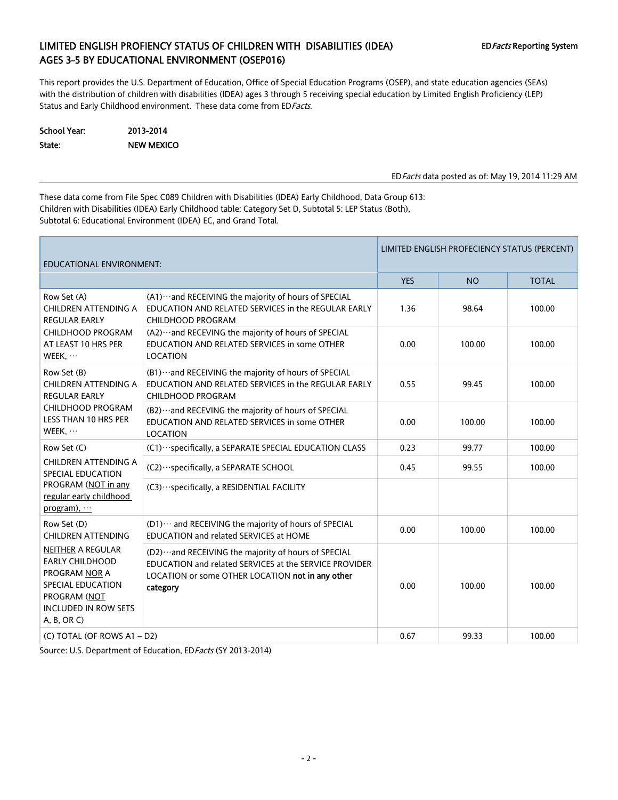## LIMITED ENGLISH PROFIENCY STATUS OF CHILDREN WITH DISABILITIES (IDEA) EDFacts Reporting System AGES 3-5 BY EDUCATIONAL ENVIRONMENT (OSEP016)

This report provides the U.S. Department of Education, Office of Special Education Programs (OSEP), and state education agencies (SEAs) with the distribution of children with disabilities (IDEA) ages 3 through 5 receiving special education by Limited English Proficiency (LEP) Status and Early Childhood environment. These data come from ED Facts.

School Year: 2013-2014 State: NEW MEXICO

EDFacts data posted as of: May 19, 2014 11:29 AM

These data come from File Spec C089 Children with Disabilities (IDEA) Early Childhood, Data Group 613: Children with Disabilities (IDEA) Early Childhood table: Category Set D, Subtotal 5: LEP Status (Both), Subtotal 6: Educational Environment (IDEA) EC, and Grand Total.

| <b>EDUCATIONAL ENVIRONMENT:</b>                                                                                                                              |                                                                                                                                                                                   | LIMITED ENGLISH PROFECIENCY STATUS (PERCENT) |           |              |  |  |
|--------------------------------------------------------------------------------------------------------------------------------------------------------------|-----------------------------------------------------------------------------------------------------------------------------------------------------------------------------------|----------------------------------------------|-----------|--------------|--|--|
|                                                                                                                                                              |                                                                                                                                                                                   | <b>YES</b>                                   | <b>NO</b> | <b>TOTAL</b> |  |  |
| Row Set (A)<br>CHILDREN ATTENDING A<br><b>REGULAR EARLY</b>                                                                                                  | (A1) ··· and RECEIVING the majority of hours of SPECIAL<br>EDUCATION AND RELATED SERVICES in the REGULAR EARLY<br><b>CHILDHOOD PROGRAM</b>                                        | 1.36                                         | 98.64     | 100.00       |  |  |
| CHILDHOOD PROGRAM<br>AT LEAST 10 HRS PER<br>WEEK, $\cdots$                                                                                                   | (A2) ··· and RECEVING the majority of hours of SPECIAL<br>EDUCATION AND RELATED SERVICES in some OTHER<br><b>LOCATION</b>                                                         | 0.00                                         | 100.00    | 100.00       |  |  |
| Row Set (B)<br>CHILDREN ATTENDING A<br><b>REGULAR EARLY</b>                                                                                                  | (B1) ··· and RECEIVING the majority of hours of SPECIAL<br>EDUCATION AND RELATED SERVICES in the REGULAR EARLY<br><b>CHILDHOOD PROGRAM</b>                                        | 0.55                                         | 99.45     | 100.00       |  |  |
| CHILDHOOD PROGRAM<br>LESS THAN 10 HRS PER<br>WEEK, $\cdots$                                                                                                  | (B2) ··· and RECEVING the majority of hours of SPECIAL<br>EDUCATION AND RELATED SERVICES in some OTHER<br><b>LOCATION</b>                                                         | 0.00                                         | 100.00    | 100.00       |  |  |
| Row Set (C)                                                                                                                                                  | (C1) ··· specifically, a SEPARATE SPECIAL EDUCATION CLASS                                                                                                                         | 0.23                                         | 99.77     | 100.00       |  |  |
| CHILDREN ATTENDING A<br>SPECIAL EDUCATION                                                                                                                    | (C2) ··· specifically, a SEPARATE SCHOOL                                                                                                                                          | 0.45                                         | 99.55     | 100.00       |  |  |
| PROGRAM (NOT in any<br>regular early childhood<br>program), $\cdots$                                                                                         | (C3) ··· specifically, a RESIDENTIAL FACILITY                                                                                                                                     |                                              |           |              |  |  |
| Row Set (D)<br><b>CHILDREN ATTENDING</b>                                                                                                                     | (D1) ··· and RECEIVING the majority of hours of SPECIAL<br>EDUCATION and related SERVICES at HOME                                                                                 | 0.00                                         | 100.00    | 100.00       |  |  |
| <b>NEITHER A REGULAR</b><br><b>EARLY CHILDHOOD</b><br>PROGRAM NOR A<br><b>SPECIAL EDUCATION</b><br>PROGRAM (NOT<br><b>INCLUDED IN ROW SETS</b><br>A, B, OR C | (D2) ··· and RECEIVING the majority of hours of SPECIAL<br>EDUCATION and related SERVICES at the SERVICE PROVIDER<br>LOCATION or some OTHER LOCATION not in any other<br>category | 0.00                                         | 100.00    | 100.00       |  |  |
| (C) TOTAL (OF ROWS A1 - D2)                                                                                                                                  |                                                                                                                                                                                   | 0.67                                         | 99.33     | 100.00       |  |  |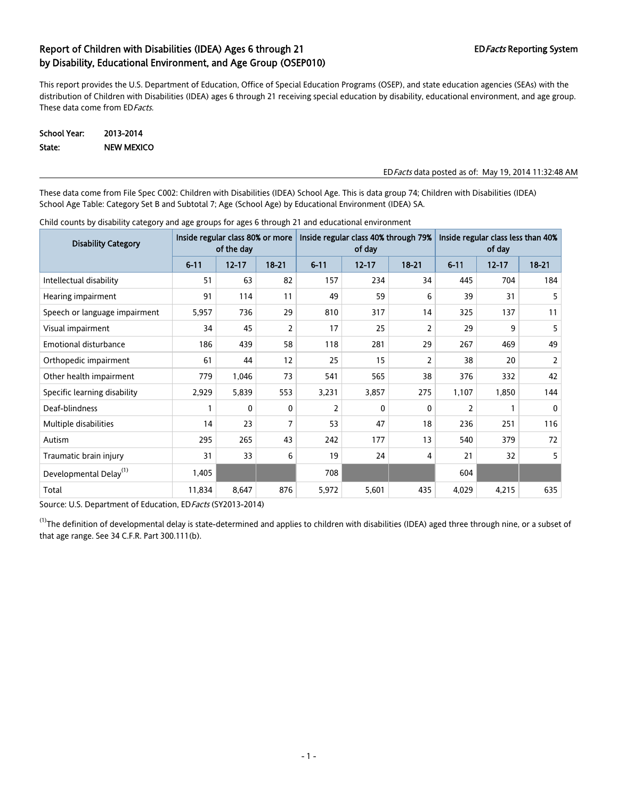This report provides the U.S. Department of Education, Office of Special Education Programs (OSEP), and state education agencies (SEAs) with the distribution of Children with Disabilities (IDEA) ages 6 through 21 receiving special education by disability, educational environment, and age group. These data come from ED Facts.

School Year: 2013-2014 State: NEW MEXICO

#### EDFacts data posted as of: May 19, 2014 11:32:48 AM

These data come from File Spec C002: Children with Disabilities (IDEA) School Age. This is data group 74; Children with Disabilities (IDEA) School Age Table: Category Set B and Subtotal 7; Age (School Age) by Educational Environment (IDEA) SA.

| <b>Disability Category</b>         | Inside regular class 80% or more<br>of the day |           |           |          | Inside regular class 40% through 79%<br>of day |           | Inside regular class less than 40%<br>of day |           |                |  |
|------------------------------------|------------------------------------------------|-----------|-----------|----------|------------------------------------------------|-----------|----------------------------------------------|-----------|----------------|--|
|                                    | $6 - 11$                                       | $12 - 17$ | $18 - 21$ | $6 - 11$ | $12 - 17$                                      | $18 - 21$ | $6 - 11$                                     | $12 - 17$ | $18 - 21$      |  |
| Intellectual disability            | 51                                             | 63        | 82        | 157      | 234                                            | 34        | 445                                          | 704       | 184            |  |
| Hearing impairment                 | 91                                             | 114       | 11        | 49       | 59                                             | 6         | 39                                           | 31        | 5              |  |
| Speech or language impairment      | 5,957                                          | 736       | 29        | 810      | 317                                            | 14        | 325                                          | 137       | 11             |  |
| Visual impairment                  | 34                                             | 45        | 2         | 17       | 25                                             | 2         | 29                                           | 9         | 5              |  |
| <b>Emotional disturbance</b>       | 186                                            | 439       | 58        | 118      | 281                                            | 29        | 267                                          | 469       | 49             |  |
| Orthopedic impairment              | 61                                             | 44        | 12        | 25       | 15                                             | 2         | 38                                           | 20        | $\overline{2}$ |  |
| Other health impairment            | 779                                            | 1,046     | 73        | 541      | 565                                            | 38        | 376                                          | 332       | 42             |  |
| Specific learning disability       | 2,929                                          | 5,839     | 553       | 3,231    | 3,857                                          | 275       | 1,107                                        | 1,850     | 144            |  |
| Deaf-blindness                     |                                                | 0         | 0         | 2        | 0                                              | 0         | 2                                            |           | 0              |  |
| Multiple disabilities              | 14                                             | 23        | 7         | 53       | 47                                             | 18        | 236                                          | 251       | 116            |  |
| Autism                             | 295                                            | 265       | 43        | 242      | 177                                            | 13        | 540                                          | 379       | 72             |  |
| Traumatic brain injury             | 31                                             | 33        | 6         | 19       | 24                                             | 4         | 21                                           | 32        | 5              |  |
| Developmental Delay <sup>(1)</sup> | 1,405                                          |           |           | 708      |                                                |           | 604                                          |           |                |  |
| Total                              | 11,834                                         | 8,647     | 876       | 5,972    | 5,601                                          | 435       | 4,029                                        | 4,215     | 635            |  |

Child counts by disability category and age groups for ages 6 through 21 and educational environment

Source: U.S. Department of Education, ED Facts (SY2013-2014)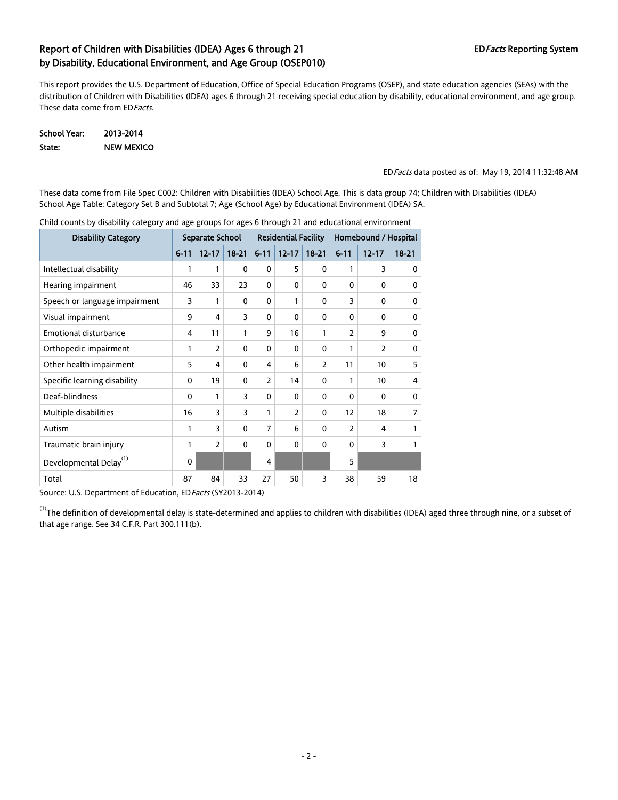This report provides the U.S. Department of Education, Office of Special Education Programs (OSEP), and state education agencies (SEAs) with the distribution of Children with Disabilities (IDEA) ages 6 through 21 receiving special education by disability, educational environment, and age group. These data come from ED Facts.

| School Year: | 2013-2014         |
|--------------|-------------------|
| State:       | <b>NEW MEXICO</b> |

#### EDFacts data posted as of: May 19, 2014 11:32:48 AM

These data come from File Spec C002: Children with Disabilities (IDEA) School Age. This is data group 74; Children with Disabilities (IDEA) School Age Table: Category Set B and Subtotal 7; Age (School Age) by Educational Environment (IDEA) SA.

| <b>Disability Category</b>         | Separate School |                |              | <b>Residential Facility</b> |              |                | Homebound / Hospital |                |                |  |
|------------------------------------|-----------------|----------------|--------------|-----------------------------|--------------|----------------|----------------------|----------------|----------------|--|
|                                    | $6 - 11$        | $12 - 17$      | $18 - 21$    | $6 - 11$                    | $12 - 17$    | $18 - 21$      | $6 - 11$             | $12 - 17$      | $18 - 21$      |  |
| Intellectual disability            | 1               | 1              | 0            | 0                           | 5            | $\mathbf{0}$   | 1                    | 3              | 0              |  |
| Hearing impairment                 | 46              | 33             | 23           | 0                           | $\mathbf{0}$ | $\mathbf{0}$   | $\mathbf{0}$         | 0              | 0              |  |
| Speech or language impairment      | 3               | 1              | 0            | 0                           | 1            | 0              | 3                    | 0              | 0              |  |
| Visual impairment                  | 9               | 4              | 3            | 0                           | $\mathbf{0}$ | $\mathbf{0}$   | 0                    | 0              | 0              |  |
| <b>Emotional disturbance</b>       | 4               | 11             | 1            | 9                           | 16           | 1              | $\overline{2}$       | 9              | 0              |  |
| Orthopedic impairment              | 1               | $\overline{2}$ | $\mathbf{0}$ | 0                           | $\mathbf{0}$ | $\mathbf{0}$   | $\mathbf{1}$         | $\overline{2}$ | $\mathbf{0}$   |  |
| Other health impairment            | 5               | 4              | $\mathbf{0}$ | 4                           | 6            | $\overline{2}$ | 11                   | 10             | 5              |  |
| Specific learning disability       | 0               | 19             | 0            | $\overline{2}$              | 14           | $\mathbf{0}$   | 1                    | 10             | 4              |  |
| Deaf-blindness                     | $\Omega$        | 1              | 3            | 0                           | 0            | $\mathbf{0}$   | 0                    | 0              | $\mathbf{0}$   |  |
| Multiple disabilities              | 16              | 3              | 3            | 1                           | 2            | $\mathbf{0}$   | 12                   | 18             | $\overline{7}$ |  |
| Autism                             | 1               | 3              | $\mathbf{0}$ | $\overline{7}$              | 6            | 0              | $\overline{2}$       | 4              | 1              |  |
| Traumatic brain injury             | 1               | 2              | $\mathbf{0}$ | 0                           | $\mathbf{0}$ | $\mathbf{0}$   | 0                    | 3              | 1              |  |
| Developmental Delay <sup>(1)</sup> | $\mathbf{0}$    |                |              | 4                           |              |                | 5                    |                |                |  |
| Total                              | 87              | 84             | 33           | 27                          | 50           | 3              | 38                   | 59             | 18             |  |

Child counts by disability category and age groups for ages 6 through 21 and educational environment

Source: U.S. Department of Education, ED Facts (SY2013-2014)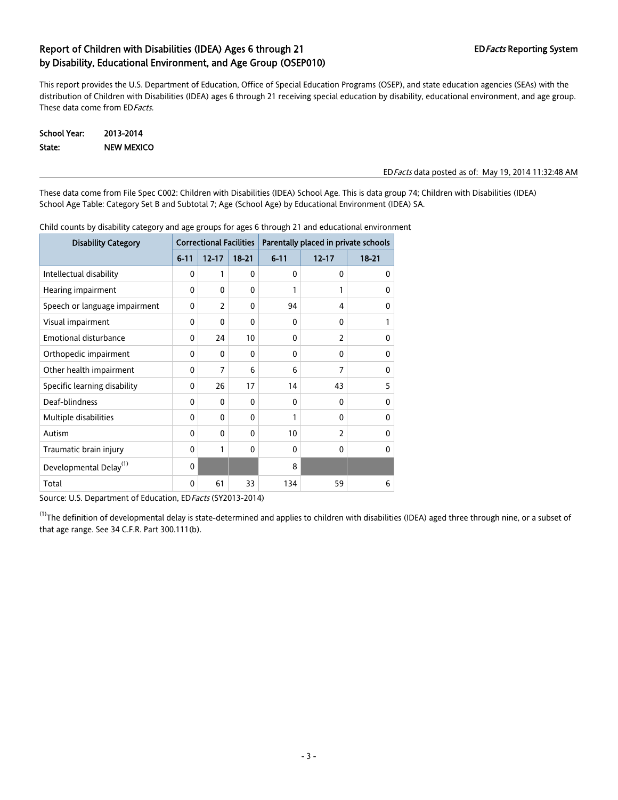This report provides the U.S. Department of Education, Office of Special Education Programs (OSEP), and state education agencies (SEAs) with the distribution of Children with Disabilities (IDEA) ages 6 through 21 receiving special education by disability, educational environment, and age group. These data come from ED Facts.

| School Year: | 2013-2014         |
|--------------|-------------------|
| State:       | <b>NEW MEXICO</b> |

#### EDFacts data posted as of: May 19, 2014 11:32:48 AM

These data come from File Spec C002: Children with Disabilities (IDEA) School Age. This is data group 74; Children with Disabilities (IDEA) School Age Table: Category Set B and Subtotal 7; Age (School Age) by Educational Environment (IDEA) SA.

| <b>Disability Category</b>         | <b>Correctional Facilities</b> |                |           | Parentally placed in private schools |                |           |  |
|------------------------------------|--------------------------------|----------------|-----------|--------------------------------------|----------------|-----------|--|
|                                    | $6 - 11$                       | $12 - 17$      | $18 - 21$ | $6 - 11$                             | $12 - 17$      | $18 - 21$ |  |
| Intellectual disability            | 0                              | 1              | $\Omega$  | 0                                    | 0              | 0         |  |
| Hearing impairment                 | 0                              | $\mathbf{0}$   | 0         | 1                                    | 1              | 0         |  |
| Speech or language impairment      | 0                              | $\overline{2}$ | $\Omega$  | 94                                   | 4              | $\Omega$  |  |
| Visual impairment                  | 0                              | $\mathbf{0}$   | 0         | 0                                    | $\Omega$       |           |  |
| Emotional disturbance              | 0                              | 24             | 10        | 0                                    | $\overline{2}$ | 0         |  |
| Orthopedic impairment              | 0                              | 0              | $\Omega$  | 0                                    | $\Omega$       | 0         |  |
| Other health impairment            | 0                              | 7              | 6         | 6                                    | 7              | 0         |  |
| Specific learning disability       | 0                              | 26             | 17        | 14                                   | 43             | 5         |  |
| Deaf-blindness                     | 0                              | 0              | $\Omega$  | $\Omega$                             | $\Omega$       | 0         |  |
| Multiple disabilities              | 0                              | $\mathbf{0}$   | $\Omega$  | 1                                    | $\Omega$       | 0         |  |
| Autism                             | 0                              | $\mathbf{0}$   | 0         | 10                                   | $\overline{2}$ | 0         |  |
| Traumatic brain injury             | 0                              | 1              | $\Omega$  | $\Omega$                             | $\Omega$       | 0         |  |
| Developmental Delay <sup>(1)</sup> | 0                              |                |           | 8                                    |                |           |  |
| Total                              | 0                              | 61             | 33        | 134                                  | 59             | 6         |  |

Child counts by disability category and age groups for ages 6 through 21 and educational environment

Source: U.S. Department of Education, ED Facts (SY2013-2014)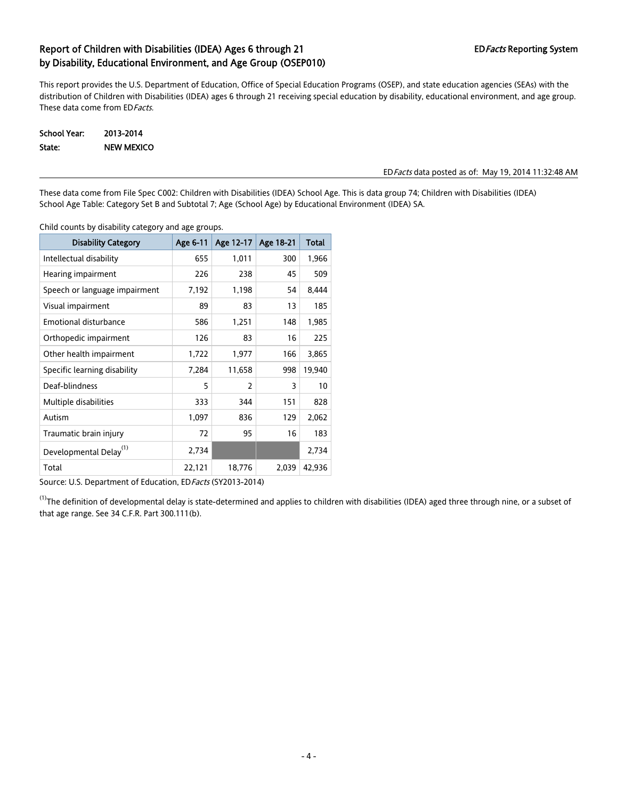This report provides the U.S. Department of Education, Office of Special Education Programs (OSEP), and state education agencies (SEAs) with the distribution of Children with Disabilities (IDEA) ages 6 through 21 receiving special education by disability, educational environment, and age group. These data come from ED Facts.

School Year: 2013-2014 State: NEW MEXICO

#### EDFacts data posted as of: May 19, 2014 11:32:48 AM

These data come from File Spec C002: Children with Disabilities (IDEA) School Age. This is data group 74; Children with Disabilities (IDEA) School Age Table: Category Set B and Subtotal 7; Age (School Age) by Educational Environment (IDEA) SA.

Child counts by disability category and age groups.

| <b>Disability Category</b>         | Age 6-11 | Age 12-17 | Age 18-21 | <b>Total</b> |
|------------------------------------|----------|-----------|-----------|--------------|
| Intellectual disability            | 655      | 1,011     | 300       | 1,966        |
| Hearing impairment                 | 226      | 238       | 45        | 509          |
| Speech or language impairment      | 7,192    | 1,198     | 54        | 8,444        |
| Visual impairment                  | 89       | 83        | 13        | 185          |
| <b>Emotional disturbance</b>       | 586      | 1,251     | 148       | 1,985        |
| Orthopedic impairment              | 126      | 83        | 16        | 225          |
| Other health impairment            | 1,722    | 1,977     | 166       | 3,865        |
| Specific learning disability       | 7,284    | 11,658    | 998       | 19,940       |
| Deaf-blindness                     | 5        | 2         | 3         | 10           |
| Multiple disabilities              | 333      | 344       | 151       | 828          |
| Autism                             | 1,097    | 836       | 129       | 2,062        |
| Traumatic brain injury             | 72       | 95        | 16        | 183          |
| Developmental Delay <sup>(1)</sup> | 2,734    |           |           | 2,734        |
| Total                              | 22,121   | 18,776    | 2,039     | 42,936       |

Source: U.S. Department of Education, ED Facts (SY2013-2014)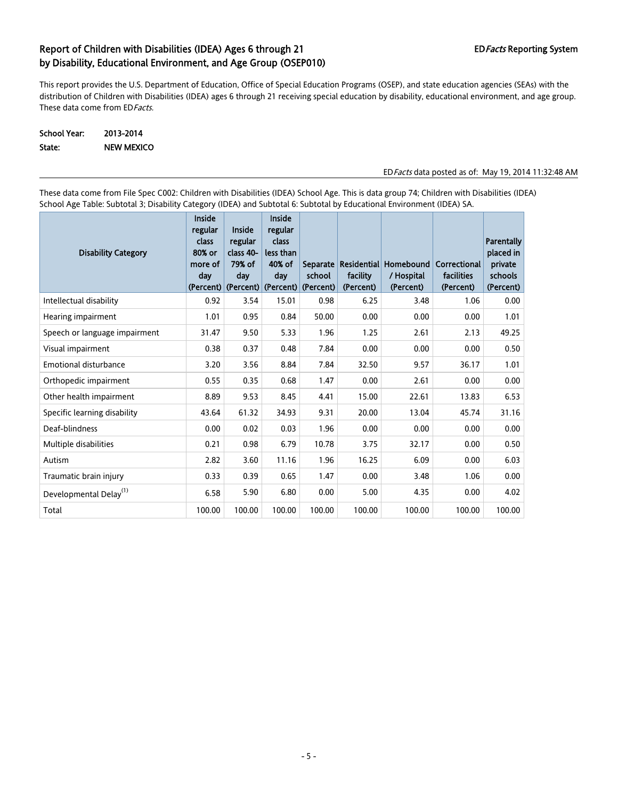This report provides the U.S. Department of Education, Office of Special Education Programs (OSEP), and state education agencies (SEAs) with the distribution of Children with Disabilities (IDEA) ages 6 through 21 receiving special education by disability, educational environment, and age group. These data come from ED Facts.

School Year: 2013-2014 State: NEW MEXICO

EDFacts data posted as of: May 19, 2014 11:32:48 AM

These data come from File Spec C002: Children with Disabilities (IDEA) School Age. This is data group 74; Children with Disabilities (IDEA) School Age Table: Subtotal 3; Disability Category (IDEA) and Subtotal 6: Subtotal by Educational Environment (IDEA) SA.

| <b>Disability Category</b>         | <b>Inside</b><br>regular<br>class<br>80% or<br>more of<br>day | Inside<br>regular<br>class 40-<br>79% of<br>day<br>(Percent) (Percent) (Percent) | <b>Inside</b><br>regular<br>class<br>less than<br>40% of<br>day | school<br>(Percent) | facility<br>(Percent) | Separate Residential Homebound<br>/ Hospital<br>(Percent) | Correctional<br>facilities<br>(Percent) | Parentally<br>placed in<br>private<br>schools<br>(Percent) |
|------------------------------------|---------------------------------------------------------------|----------------------------------------------------------------------------------|-----------------------------------------------------------------|---------------------|-----------------------|-----------------------------------------------------------|-----------------------------------------|------------------------------------------------------------|
| Intellectual disability            | 0.92                                                          | 3.54                                                                             | 15.01                                                           | 0.98                | 6.25                  | 3.48                                                      | 1.06                                    | 0.00                                                       |
| Hearing impairment                 | 1.01                                                          | 0.95                                                                             | 0.84                                                            | 50.00               | 0.00                  | 0.00                                                      | 0.00                                    | 1.01                                                       |
| Speech or language impairment      | 31.47                                                         | 9.50                                                                             | 5.33                                                            | 1.96                | 1.25                  | 2.61                                                      | 2.13                                    | 49.25                                                      |
| Visual impairment                  | 0.38                                                          | 0.37                                                                             | 0.48                                                            | 7.84                | 0.00                  | 0.00                                                      | 0.00                                    | 0.50                                                       |
| <b>Emotional disturbance</b>       | 3.20                                                          | 3.56                                                                             | 8.84                                                            | 7.84                | 32.50                 | 9.57                                                      | 36.17                                   | 1.01                                                       |
| Orthopedic impairment              | 0.55                                                          | 0.35                                                                             | 0.68                                                            | 1.47                | 0.00                  | 2.61                                                      | 0.00                                    | 0.00                                                       |
| Other health impairment            | 8.89                                                          | 9.53                                                                             | 8.45                                                            | 4.41                | 15.00                 | 22.61                                                     | 13.83                                   | 6.53                                                       |
| Specific learning disability       | 43.64                                                         | 61.32                                                                            | 34.93                                                           | 9.31                | 20.00                 | 13.04                                                     | 45.74                                   | 31.16                                                      |
| Deaf-blindness                     | 0.00                                                          | 0.02                                                                             | 0.03                                                            | 1.96                | 0.00                  | 0.00                                                      | 0.00                                    | 0.00                                                       |
| Multiple disabilities              | 0.21                                                          | 0.98                                                                             | 6.79                                                            | 10.78               | 3.75                  | 32.17                                                     | 0.00                                    | 0.50                                                       |
| Autism                             | 2.82                                                          | 3.60                                                                             | 11.16                                                           | 1.96                | 16.25                 | 6.09                                                      | 0.00                                    | 6.03                                                       |
| Traumatic brain injury             | 0.33                                                          | 0.39                                                                             | 0.65                                                            | 1.47                | 0.00                  | 3.48                                                      | 1.06                                    | 0.00                                                       |
| Developmental Delay <sup>(1)</sup> | 6.58                                                          | 5.90                                                                             | 6.80                                                            | 0.00                | 5.00                  | 4.35                                                      | 0.00                                    | 4.02                                                       |
| Total                              | 100.00                                                        | 100.00                                                                           | 100.00                                                          | 100.00              | 100.00                | 100.00                                                    | 100.00                                  | 100.00                                                     |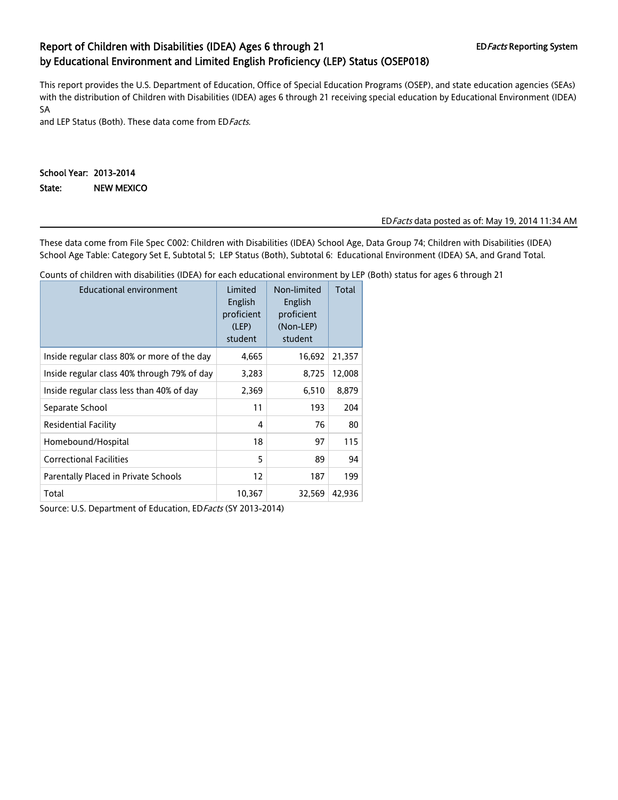# Report of Children with Disabilities (IDEA) Ages 6 through 21 EDFacts Reporting System by Educational Environment and Limited English Proficiency (LEP) Status (OSEP018)

This report provides the U.S. Department of Education, Office of Special Education Programs (OSEP), and state education agencies (SEAs) with the distribution of Children with Disabilities (IDEA) ages 6 through 21 receiving special education by Educational Environment (IDEA) SA

and LEP Status (Both). These data come from ED Facts.

### School Year: 2013-2014 State: NEW MEXICO

### EDFacts data posted as of: May 19, 2014 11:34 AM

These data come from File Spec C002: Children with Disabilities (IDEA) School Age, Data Group 74; Children with Disabilities (IDEA) School Age Table: Category Set E, Subtotal 5; LEP Status (Both), Subtotal 6: Educational Environment (IDEA) SA, and Grand Total.

Counts of children with disabilities (IDEA) for each educational environment by LEP (Both) status for ages 6 through 21

| <b>Educational environment</b>              | Limited<br>English<br>proficient<br>(LEP)<br>student | Non-limited<br>English<br>proficient<br>(Non-LEP)<br>student | Total  |
|---------------------------------------------|------------------------------------------------------|--------------------------------------------------------------|--------|
| Inside regular class 80% or more of the day | 4,665                                                | 16,692                                                       | 21,357 |
| Inside regular class 40% through 79% of day | 3,283                                                | 8,725                                                        | 12,008 |
| Inside regular class less than 40% of day   | 2,369                                                | 6,510                                                        | 8,879  |
| Separate School                             | 11                                                   | 193                                                          | 204    |
| Residential Facility                        | 4                                                    | 76                                                           | 80     |
| Homebound/Hospital                          | 18                                                   | 97                                                           | 115    |
| <b>Correctional Facilities</b>              | 5                                                    | 89                                                           | 94     |
| Parentally Placed in Private Schools        | 12                                                   | 187                                                          | 199    |
| Total                                       | 10,367                                               | 32,569                                                       | 42,936 |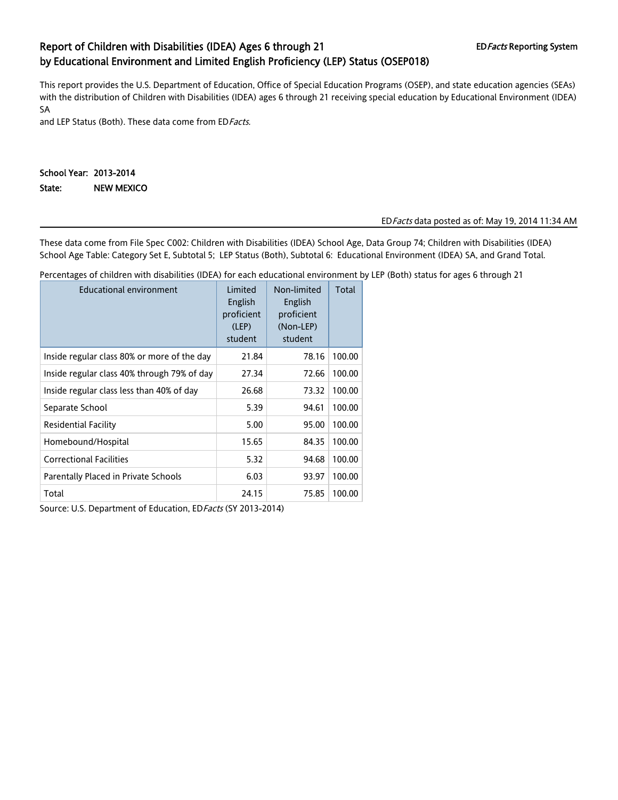# Report of Children with Disabilities (IDEA) Ages 6 through 21 EDFacts Reporting System by Educational Environment and Limited English Proficiency (LEP) Status (OSEP018)

This report provides the U.S. Department of Education, Office of Special Education Programs (OSEP), and state education agencies (SEAs) with the distribution of Children with Disabilities (IDEA) ages 6 through 21 receiving special education by Educational Environment (IDEA) SA

and LEP Status (Both). These data come from ED Facts.

### School Year: 2013-2014 State: NEW MEXICO

### EDFacts data posted as of: May 19, 2014 11:34 AM

These data come from File Spec C002: Children with Disabilities (IDEA) School Age, Data Group 74; Children with Disabilities (IDEA) School Age Table: Category Set E, Subtotal 5; LEP Status (Both), Subtotal 6: Educational Environment (IDEA) SA, and Grand Total.

Percentages of children with disabilities (IDEA) for each educational environment by LEP (Both) status for ages 6 through 21

| Educational environment                     | Limited<br>English<br>proficient<br>(LEP)<br>student | Non-limited<br>English<br>proficient<br>(Non-LEP)<br>student | Total  |
|---------------------------------------------|------------------------------------------------------|--------------------------------------------------------------|--------|
| Inside regular class 80% or more of the day | 21.84                                                | 78.16                                                        | 100.00 |
| Inside regular class 40% through 79% of day | 27.34                                                | 72.66                                                        | 100.00 |
| Inside regular class less than 40% of day   | 26.68                                                | 73.32                                                        | 100.00 |
| Separate School                             | 5.39                                                 | 94.61                                                        | 100.00 |
| <b>Residential Facility</b>                 | 5.00                                                 | 95.00                                                        | 100.00 |
| Homebound/Hospital                          | 15.65                                                | 84.35                                                        | 100.00 |
| <b>Correctional Facilities</b>              | 5.32                                                 | 94.68                                                        | 100.00 |
| Parentally Placed in Private Schools        | 6.03                                                 | 93.97                                                        | 100.00 |
| Total                                       | 24.15                                                | 75.85                                                        | 100.00 |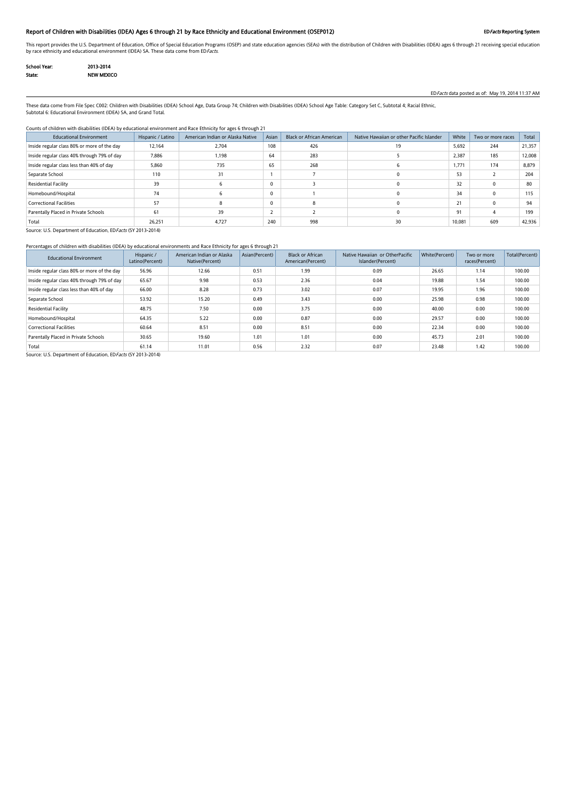### Report of Children with Disabilities (IDEA) Ages 6 through 21 by Race Ethnicity and Educational Environment (OSEP012) EDFacts Reporting System

This report provides the U.S. Department of Education, Office of Special Education Programs (OSEP) and state education agencies (SEAs) with the distribution of Children with Disabilities (IDEA) ages 6 through 21 receiving by race ethnicity and educational environment (IDEA) SA. These data come from EDFacts.

| School Year: | 2013-2014         |
|--------------|-------------------|
| State:       | <b>NEW MEXICO</b> |

EDFacts data posted as of: May 19, 2014 11:37 AM

These data come from File Spec C002: Children with Disabilities (IDEA) School Age, Data Group 74; Children with Disabilities (IDEA) School Age Table: Category Set C, Subtotal 4; Racial Ethnic, Subtotal 6: Educational Environment (IDEA) SA, and Grand Total.

#### Counts of children with disabilities (IDEA) by educational environment and Race Ethnicity for ages 6 through 21

| <b>Educational Environment</b>              | Hispanic / Latino | American Indian or Alaska Native | Asian    | <b>Black or African American</b> | Native Hawaiian or other Pacific Islander | White  | Two or more races | Total  |
|---------------------------------------------|-------------------|----------------------------------|----------|----------------------------------|-------------------------------------------|--------|-------------------|--------|
| Inside regular class 80% or more of the day | 12,164            | 2,704                            | 108      | 426                              | 19                                        | 5,692  | 244               | 21,357 |
| Inside regular class 40% through 79% of day | 7,886             | 1,198                            | 64       | 283                              |                                           | 2,387  | 185               | 12,008 |
| Inside regular class less than 40% of day   | 5,860             | 735                              | 65       | 268                              |                                           | 1,771  | 174               | 8,879  |
| Separate School                             | 110               | 31                               |          |                                  |                                           | 53     |                   | 204    |
| Residential Facility                        | 39                |                                  |          |                                  |                                           | 32     |                   |        |
| Homebound/Hospital                          | 74                |                                  | $\Omega$ |                                  |                                           | 34     |                   | 115    |
| <b>Correctional Facilities</b>              | 57                |                                  |          |                                  |                                           | 21     |                   | 94     |
| Parentally Placed in Private Schools        | 61                | 39                               |          |                                  |                                           | 91     |                   | 199    |
| Total                                       | 26,251            | 4,727                            | 240      | 998                              | 30                                        | 10,081 | 609               | 42,936 |

Source: U.S. Department of Education, ED Facts (SY 2013-2014)

### Percentages of children with disabilities (IDEA) by educational environments and Race Ethnicity for ages 6 through 21

| <b>Educational Environment</b>              | Hispanic /<br>Latino(Percent) | American Indian or Alaska<br>Native(Percent) | Asian(Percent) | <b>Black or African</b><br>American(Percent) | Native Hawaiian or OtherPacific<br>Islander(Percent) | White(Percent) | Two or more<br>races(Percent) | Total(Percent) |
|---------------------------------------------|-------------------------------|----------------------------------------------|----------------|----------------------------------------------|------------------------------------------------------|----------------|-------------------------------|----------------|
| Inside regular class 80% or more of the day | 56.96                         | 12.66                                        | 0.51           | 1.99                                         | 0.09                                                 | 26.65          | 1.14                          | 100.00         |
| Inside regular class 40% through 79% of day | 65.67                         | 9.98                                         | 0.53           | 2.36                                         | 0.04                                                 | 19.88          | 1.54                          | 100.00         |
| Inside regular class less than 40% of day   | 66.00                         | 8.28                                         | 0.73           | 3.02                                         | 0.07                                                 | 19.95          | 1.96                          | 100.00         |
| Separate School                             | 53.92                         | 15.20                                        | 0.49           | 3.43                                         | 0.00                                                 | 25.98          | 0.98                          | 100.00         |
| Residential Facility                        | 48.75                         | 7.50                                         | 0.00           | 3.75                                         | 0.00                                                 | 40.00          | 0.00                          | 100.00         |
| Homebound/Hospital                          | 64.35                         | 5.22                                         | 0.00           | 0.87                                         | 0.00                                                 | 29.57          | 0.00                          | 100.00         |
| <b>Correctional Facilities</b>              | 60.64                         | 8.51                                         | 0.00           | 8.51                                         | 0.00                                                 | 22.34          | 0.00                          | 100.00         |
| Parentally Placed in Private Schools        | 30.65                         | 19.60                                        | 1.01           | 1.01                                         | 0.00                                                 | 45.73          | 2.01                          | 100.00         |
| Total                                       | 61.14                         | 11.01                                        | 0.56           | 2.32                                         | 0.07                                                 | 23.48          | 1.42                          | 100.00         |